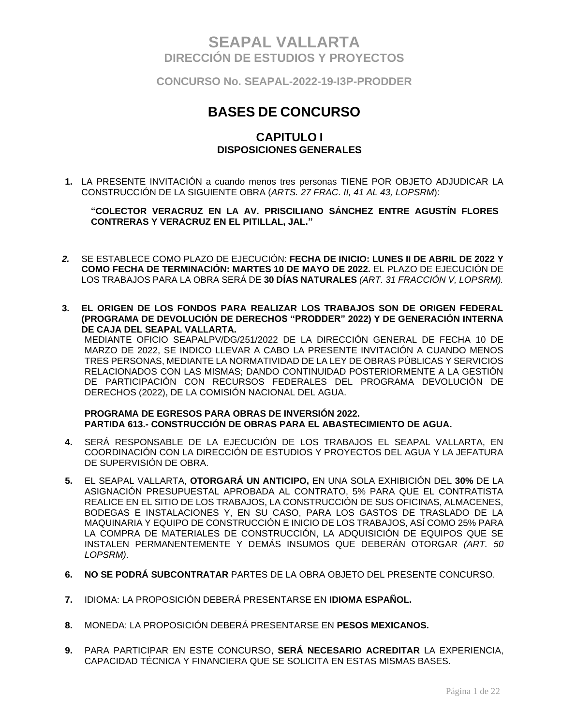**CONCURSO No. SEAPAL-2022-19-I3P-PRODDER**

# **BASES DE CONCURSO**

### **CAPITULO I DISPOSICIONES GENERALES**

**1.** LA PRESENTE INVITACIÓN a cuando menos tres personas TIENE POR OBJETO ADJUDICAR LA CONSTRUCCIÓN DE LA SIGUIENTE OBRA (*ARTS. 27 FRAC. II, 41 AL 43, LOPSRM*):

**"COLECTOR VERACRUZ EN LA AV. PRISCILIANO SÁNCHEZ ENTRE AGUSTÍN FLORES CONTRERAS Y VERACRUZ EN EL PITILLAL, JAL."**

- *2.* SE ESTABLECE COMO PLAZO DE EJECUCIÓN: **FECHA DE INICIO: LUNES II DE ABRIL DE 2022 Y COMO FECHA DE TERMINACIÓN: MARTES 10 DE MAYO DE 2022.** EL PLAZO DE EJECUCIÓN DE LOS TRABAJOS PARA LA OBRA SERÁ DE **30 DÍAS NATURALES** *(ART. 31 FRACCIÓN V, LOPSRM).*
- **3. EL ORIGEN DE LOS FONDOS PARA REALIZAR LOS TRABAJOS SON DE ORIGEN FEDERAL (PROGRAMA DE DEVOLUCIÓN DE DERECHOS "PRODDER" 2022) Y DE GENERACIÓN INTERNA DE CAJA DEL SEAPAL VALLARTA.**

MEDIANTE OFICIO SEAPALPV/DG/251/2022 DE LA DIRECCIÓN GENERAL DE FECHA 10 DE MARZO DE 2022, SE INDICO LLEVAR A CABO LA PRESENTE INVITACIÓN A CUANDO MENOS TRES PERSONAS, MEDIANTE LA NORMATIVIDAD DE LA LEY DE OBRAS PÚBLICAS Y SERVICIOS RELACIONADOS CON LAS MISMAS; DANDO CONTINUIDAD POSTERIORMENTE A LA GESTIÓN DE PARTICIPACIÓN CON RECURSOS FEDERALES DEL PROGRAMA DEVOLUCIÓN DE DERECHOS (2022), DE LA COMISIÓN NACIONAL DEL AGUA.

#### **PROGRAMA DE EGRESOS PARA OBRAS DE INVERSIÓN 2022. PARTIDA 613.- CONSTRUCCIÓN DE OBRAS PARA EL ABASTECIMIENTO DE AGUA.**

- **4.** SERÁ RESPONSABLE DE LA EJECUCIÓN DE LOS TRABAJOS EL SEAPAL VALLARTA, EN COORDINACIÓN CON LA DIRECCIÓN DE ESTUDIOS Y PROYECTOS DEL AGUA Y LA JEFATURA DE SUPERVISIÓN DE OBRA.
- **5.** EL SEAPAL VALLARTA, **OTORGARÁ UN ANTICIPO,** EN UNA SOLA EXHIBICIÓN DEL **30%** DE LA ASIGNACIÓN PRESUPUESTAL APROBADA AL CONTRATO, 5% PARA QUE EL CONTRATISTA REALICE EN EL SITIO DE LOS TRABAJOS, LA CONSTRUCCIÓN DE SUS OFICINAS, ALMACENES, BODEGAS E INSTALACIONES Y, EN SU CASO, PARA LOS GASTOS DE TRASLADO DE LA MAQUINARIA Y EQUIPO DE CONSTRUCCIÓN E INICIO DE LOS TRABAJOS, ASÍ COMO 25% PARA LA COMPRA DE MATERIALES DE CONSTRUCCIÓN, LA ADQUISICIÓN DE EQUIPOS QUE SE INSTALEN PERMANENTEMENTE Y DEMÁS INSUMOS QUE DEBERÁN OTORGAR *(ART. 50 LOPSRM)*.
- **6. NO SE PODRÁ SUBCONTRATAR** PARTES DE LA OBRA OBJETO DEL PRESENTE CONCURSO.
- **7.** IDIOMA: LA PROPOSICIÓN DEBERÁ PRESENTARSE EN **IDIOMA ESPAÑOL.**
- **8.** MONEDA: LA PROPOSICIÓN DEBERÁ PRESENTARSE EN **PESOS MEXICANOS.**
- **9.** PARA PARTICIPAR EN ESTE CONCURSO, **SERÁ NECESARIO ACREDITAR** LA EXPERIENCIA, CAPACIDAD TÉCNICA Y FINANCIERA QUE SE SOLICITA EN ESTAS MISMAS BASES.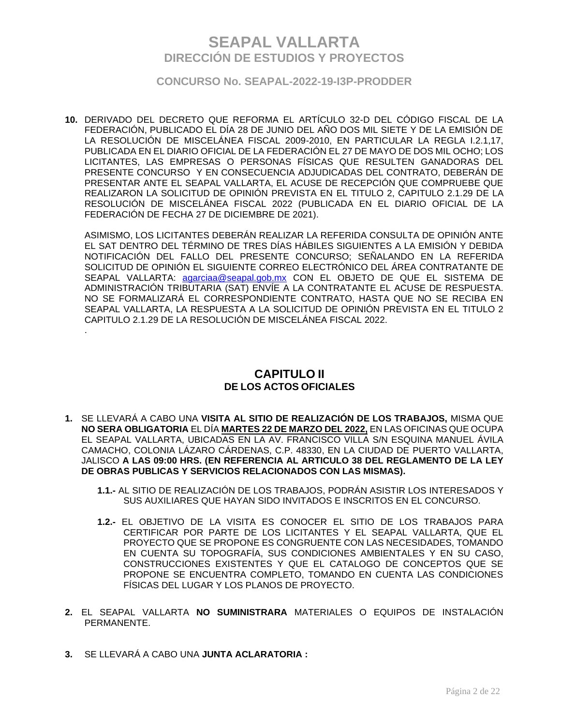### **CONCURSO No. SEAPAL-2022-19-I3P-PRODDER**

**10.** DERIVADO DEL DECRETO QUE REFORMA EL ARTÍCULO 32-D DEL CÓDIGO FISCAL DE LA FEDERACIÓN, PUBLICADO EL DÍA 28 DE JUNIO DEL AÑO DOS MIL SIETE Y DE LA EMISIÓN DE LA RESOLUCIÓN DE MISCELÁNEA FISCAL 2009-2010, EN PARTICULAR LA REGLA I.2.1,17, PUBLICADA EN EL DIARIO OFICIAL DE LA FEDERACIÓN EL 27 DE MAYO DE DOS MIL OCHO; LOS LICITANTES, LAS EMPRESAS O PERSONAS FÍSICAS QUE RESULTEN GANADORAS DEL PRESENTE CONCURSO Y EN CONSECUENCIA ADJUDICADAS DEL CONTRATO, DEBERÁN DE PRESENTAR ANTE EL SEAPAL VALLARTA, EL ACUSE DE RECEPCIÓN QUE COMPRUEBE QUE REALIZARON LA SOLICITUD DE OPINIÓN PREVISTA EN EL TITULO 2, CAPITULO 2.1.29 DE LA RESOLUCIÓN DE MISCELÁNEA FISCAL 2022 (PUBLICADA EN EL DIARIO OFICIAL DE LA FEDERACIÓN DE FECHA 27 DE DICIEMBRE DE 2021).

ASIMISMO, LOS LICITANTES DEBERÁN REALIZAR LA REFERIDA CONSULTA DE OPINIÓN ANTE EL SAT DENTRO DEL TÉRMINO DE TRES DÍAS HÁBILES SIGUIENTES A LA EMISIÓN Y DEBIDA NOTIFICACIÓN DEL FALLO DEL PRESENTE CONCURSO; SEÑALANDO EN LA REFERIDA SOLICITUD DE OPINIÓN EL SIGUIENTE CORREO ELECTRÓNICO DEL ÁREA CONTRATANTE DE SEAPAL VALLARTA: agarciaa@seapal.gob.mx CON EL OBJETO DE QUE EL SISTEMA DE ADMINISTRACIÓN TRIBUTARIA (SAT) ENVÍE A LA CONTRATANTE EL ACUSE DE RESPUESTA. NO SE FORMALIZARÁ EL CORRESPONDIENTE CONTRATO, HASTA QUE NO SE RECIBA EN SEAPAL VALLARTA, LA RESPUESTA A LA SOLICITUD DE OPINIÓN PREVISTA EN EL TITULO 2 CAPITULO 2.1.29 DE LA RESOLUCIÓN DE MISCELÁNEA FISCAL 2022.

## **CAPITULO II DE LOS ACTOS OFICIALES**

- **1.** SE LLEVARÁ A CABO UNA **VISITA AL SITIO DE REALIZACIÓN DE LOS TRABAJOS,** MISMA QUE **NO SERA OBLIGATORIA** EL DÍA **MARTES 22 DE MARZO DEL 2022,** EN LAS OFICINAS QUE OCUPA EL SEAPAL VALLARTA, UBICADAS EN LA AV. FRANCISCO VILLA S/N ESQUINA MANUEL ÁVILA CAMACHO, COLONIA LÁZARO CÁRDENAS, C.P. 48330, EN LA CIUDAD DE PUERTO VALLARTA, JALISCO **A LAS 09:00 HRS. (EN REFERENCIA AL ARTICULO 38 DEL REGLAMENTO DE LA LEY DE OBRAS PUBLICAS Y SERVICIOS RELACIONADOS CON LAS MISMAS).**
	- **1.1.-** AL SITIO DE REALIZACIÓN DE LOS TRABAJOS, PODRÁN ASISTIR LOS INTERESADOS Y SUS AUXILIARES QUE HAYAN SIDO INVITADOS E INSCRITOS EN EL CONCURSO.
	- **1.2.-** EL OBJETIVO DE LA VISITA ES CONOCER EL SITIO DE LOS TRABAJOS PARA CERTIFICAR POR PARTE DE LOS LICITANTES Y EL SEAPAL VALLARTA, QUE EL PROYECTO QUE SE PROPONE ES CONGRUENTE CON LAS NECESIDADES, TOMANDO EN CUENTA SU TOPOGRAFÍA, SUS CONDICIONES AMBIENTALES Y EN SU CASO, CONSTRUCCIONES EXISTENTES Y QUE EL CATALOGO DE CONCEPTOS QUE SE PROPONE SE ENCUENTRA COMPLETO, TOMANDO EN CUENTA LAS CONDICIONES FÍSICAS DEL LUGAR Y LOS PLANOS DE PROYECTO.
- **2.** EL SEAPAL VALLARTA **NO SUMINISTRARA** MATERIALES O EQUIPOS DE INSTALACIÓN PERMANENTE.
- **3.** SE LLEVARÁ A CABO UNA **JUNTA ACLARATORIA :**

.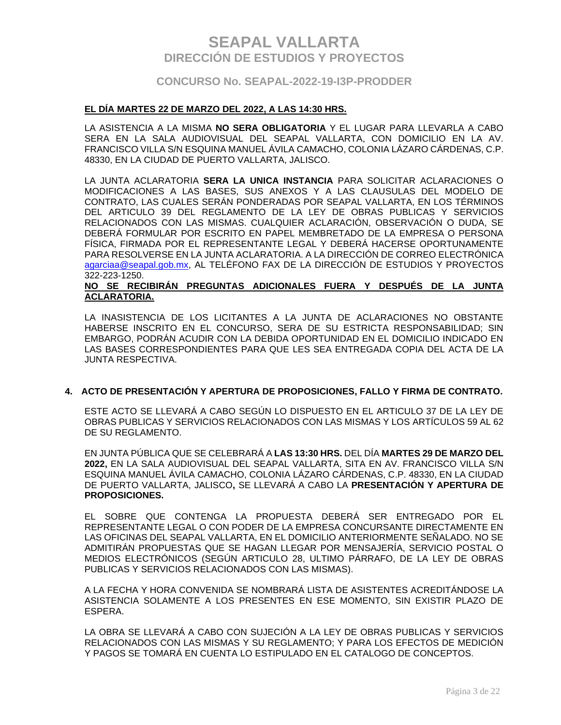### **CONCURSO No. SEAPAL-2022-19-I3P-PRODDER**

#### **EL DÍA MARTES 22 DE MARZO DEL 2022, A LAS 14:30 HRS.**

LA ASISTENCIA A LA MISMA **NO SERA OBLIGATORIA** Y EL LUGAR PARA LLEVARLA A CABO SERA EN LA SALA AUDIOVISUAL DEL SEAPAL VALLARTA, CON DOMICILIO EN LA AV. FRANCISCO VILLA S/N ESQUINA MANUEL ÁVILA CAMACHO, COLONIA LÁZARO CÁRDENAS, C.P. 48330, EN LA CIUDAD DE PUERTO VALLARTA, JALISCO.

LA JUNTA ACLARATORIA **SERA LA UNICA INSTANCIA** PARA SOLICITAR ACLARACIONES O MODIFICACIONES A LAS BASES, SUS ANEXOS Y A LAS CLAUSULAS DEL MODELO DE CONTRATO, LAS CUALES SERÁN PONDERADAS POR SEAPAL VALLARTA, EN LOS TÉRMINOS DEL ARTICULO 39 DEL REGLAMENTO DE LA LEY DE OBRAS PUBLICAS Y SERVICIOS RELACIONADOS CON LAS MISMAS. CUALQUIER ACLARACIÓN, OBSERVACIÓN O DUDA, SE DEBERÁ FORMULAR POR ESCRITO EN PAPEL MEMBRETADO DE LA EMPRESA O PERSONA FÍSICA, FIRMADA POR EL REPRESENTANTE LEGAL Y DEBERÁ HACERSE OPORTUNAMENTE PARA RESOLVERSE EN LA JUNTA ACLARATORIA. A LA DIRECCIÓN DE CORREO ELECTRÓNICA agarciaa@seapal.gob.mx, AL TELÉFONO FAX DE LA DIRECCIÓN DE ESTUDIOS Y PROYECTOS 322-223-1250.

#### **NO SE RECIBIRÁN PREGUNTAS ADICIONALES FUERA Y DESPUÉS DE LA JUNTA ACLARATORIA.**

LA INASISTENCIA DE LOS LICITANTES A LA JUNTA DE ACLARACIONES NO OBSTANTE HABERSE INSCRITO EN EL CONCURSO, SERA DE SU ESTRICTA RESPONSABILIDAD; SIN EMBARGO, PODRÁN ACUDIR CON LA DEBIDA OPORTUNIDAD EN EL DOMICILIO INDICADO EN LAS BASES CORRESPONDIENTES PARA QUE LES SEA ENTREGADA COPIA DEL ACTA DE LA JUNTA RESPECTIVA.

#### **4. ACTO DE PRESENTACIÓN Y APERTURA DE PROPOSICIONES, FALLO Y FIRMA DE CONTRATO.**

ESTE ACTO SE LLEVARÁ A CABO SEGÚN LO DISPUESTO EN EL ARTICULO 37 DE LA LEY DE OBRAS PUBLICAS Y SERVICIOS RELACIONADOS CON LAS MISMAS Y LOS ARTÍCULOS 59 AL 62 DE SU REGLAMENTO.

EN JUNTA PÚBLICA QUE SE CELEBRARÁ A **LAS 13:30 HRS.** DEL DÍA **MARTES 29 DE MARZO DEL 2022,** EN LA SALA AUDIOVISUAL DEL SEAPAL VALLARTA, SITA EN AV. FRANCISCO VILLA S/N ESQUINA MANUEL ÁVILA CAMACHO, COLONIA LÁZARO CÁRDENAS, C.P. 48330, EN LA CIUDAD DE PUERTO VALLARTA, JALISCO**,** SE LLEVARÁ A CABO LA **PRESENTACIÓN Y APERTURA DE PROPOSICIONES.**

EL SOBRE QUE CONTENGA LA PROPUESTA DEBERÁ SER ENTREGADO POR EL REPRESENTANTE LEGAL O CON PODER DE LA EMPRESA CONCURSANTE DIRECTAMENTE EN LAS OFICINAS DEL SEAPAL VALLARTA, EN EL DOMICILIO ANTERIORMENTE SEÑALADO. NO SE ADMITIRÁN PROPUESTAS QUE SE HAGAN LLEGAR POR MENSAJERÍA, SERVICIO POSTAL O MEDIOS ELECTRÓNICOS (SEGÚN ARTICULO 28, ULTIMO PÁRRAFO, DE LA LEY DE OBRAS PUBLICAS Y SERVICIOS RELACIONADOS CON LAS MISMAS).

A LA FECHA Y HORA CONVENIDA SE NOMBRARÁ LISTA DE ASISTENTES ACREDITÁNDOSE LA ASISTENCIA SOLAMENTE A LOS PRESENTES EN ESE MOMENTO, SIN EXISTIR PLAZO DE ESPERA.

LA OBRA SE LLEVARÁ A CABO CON SUJECIÓN A LA LEY DE OBRAS PUBLICAS Y SERVICIOS RELACIONADOS CON LAS MISMAS Y SU REGLAMENTO; Y PARA LOS EFECTOS DE MEDICIÓN Y PAGOS SE TOMARÁ EN CUENTA LO ESTIPULADO EN EL CATALOGO DE CONCEPTOS.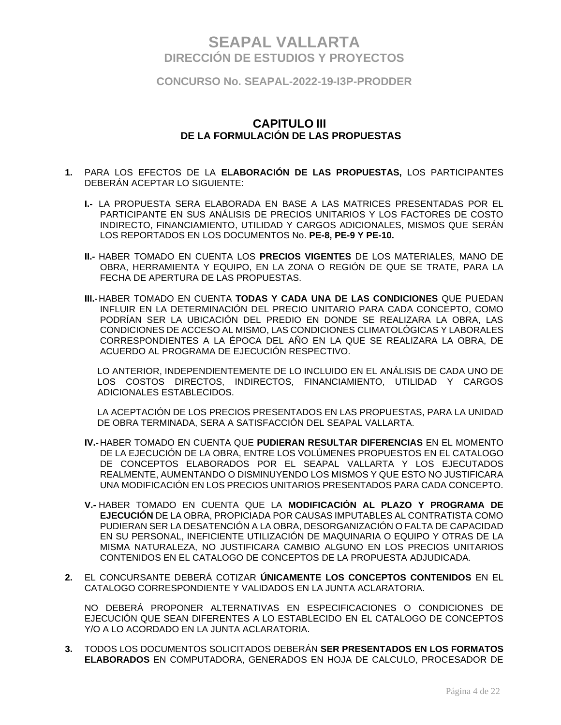**CONCURSO No. SEAPAL-2022-19-I3P-PRODDER**

### **CAPITULO III DE LA FORMULACIÓN DE LAS PROPUESTAS**

- **1.** PARA LOS EFECTOS DE LA **ELABORACIÓN DE LAS PROPUESTAS,** LOS PARTICIPANTES DEBERÁN ACEPTAR LO SIGUIENTE:
	- **I.-** LA PROPUESTA SERA ELABORADA EN BASE A LAS MATRICES PRESENTADAS POR EL PARTICIPANTE EN SUS ANÁLISIS DE PRECIOS UNITARIOS Y LOS FACTORES DE COSTO INDIRECTO, FINANCIAMIENTO, UTILIDAD Y CARGOS ADICIONALES, MISMOS QUE SERÁN LOS REPORTADOS EN LOS DOCUMENTOS No. **PE-8, PE-9 Y PE-10.**
	- **II.-** HABER TOMADO EN CUENTA LOS **PRECIOS VIGENTES** DE LOS MATERIALES, MANO DE OBRA, HERRAMIENTA Y EQUIPO, EN LA ZONA O REGIÓN DE QUE SE TRATE, PARA LA FECHA DE APERTURA DE LAS PROPUESTAS.
	- **III.-**HABER TOMADO EN CUENTA **TODAS Y CADA UNA DE LAS CONDICIONES** QUE PUEDAN INFLUIR EN LA DETERMINACIÓN DEL PRECIO UNITARIO PARA CADA CONCEPTO, COMO PODRÍAN SER LA UBICACIÓN DEL PREDIO EN DONDE SE REALIZARA LA OBRA, LAS CONDICIONES DE ACCESO AL MISMO, LAS CONDICIONES CLIMATOLÓGICAS Y LABORALES CORRESPONDIENTES A LA ÉPOCA DEL AÑO EN LA QUE SE REALIZARA LA OBRA, DE ACUERDO AL PROGRAMA DE EJECUCIÓN RESPECTIVO.

LO ANTERIOR, INDEPENDIENTEMENTE DE LO INCLUIDO EN EL ANÁLISIS DE CADA UNO DE LOS COSTOS DIRECTOS, INDIRECTOS, FINANCIAMIENTO, UTILIDAD Y CARGOS ADICIONALES ESTABLECIDOS.

LA ACEPTACIÓN DE LOS PRECIOS PRESENTADOS EN LAS PROPUESTAS, PARA LA UNIDAD DE OBRA TERMINADA, SERA A SATISFACCIÓN DEL SEAPAL VALLARTA.

- **IV.-** HABER TOMADO EN CUENTA QUE **PUDIERAN RESULTAR DIFERENCIAS** EN EL MOMENTO DE LA EJECUCIÓN DE LA OBRA, ENTRE LOS VOLÚMENES PROPUESTOS EN EL CATALOGO DE CONCEPTOS ELABORADOS POR EL SEAPAL VALLARTA Y LOS EJECUTADOS REALMENTE, AUMENTANDO O DISMINUYENDO LOS MISMOS Y QUE ESTO NO JUSTIFICARA UNA MODIFICACIÓN EN LOS PRECIOS UNITARIOS PRESENTADOS PARA CADA CONCEPTO.
- **V.-** HABER TOMADO EN CUENTA QUE LA **MODIFICACIÓN AL PLAZO Y PROGRAMA DE EJECUCIÓN** DE LA OBRA, PROPICIADA POR CAUSAS IMPUTABLES AL CONTRATISTA COMO PUDIERAN SER LA DESATENCIÓN A LA OBRA, DESORGANIZACIÓN O FALTA DE CAPACIDAD EN SU PERSONAL, INEFICIENTE UTILIZACIÓN DE MAQUINARIA O EQUIPO Y OTRAS DE LA MISMA NATURALEZA, NO JUSTIFICARA CAMBIO ALGUNO EN LOS PRECIOS UNITARIOS CONTENIDOS EN EL CATALOGO DE CONCEPTOS DE LA PROPUESTA ADJUDICADA.
- **2.** EL CONCURSANTE DEBERÁ COTIZAR **ÚNICAMENTE LOS CONCEPTOS CONTENIDOS** EN EL CATALOGO CORRESPONDIENTE Y VALIDADOS EN LA JUNTA ACLARATORIA.

NO DEBERÁ PROPONER ALTERNATIVAS EN ESPECIFICACIONES O CONDICIONES DE EJECUCIÓN QUE SEAN DIFERENTES A LO ESTABLECIDO EN EL CATALOGO DE CONCEPTOS Y/O A LO ACORDADO EN LA JUNTA ACLARATORIA.

**3.** TODOS LOS DOCUMENTOS SOLICITADOS DEBERÁN **SER PRESENTADOS EN LOS FORMATOS ELABORADOS** EN COMPUTADORA, GENERADOS EN HOJA DE CALCULO, PROCESADOR DE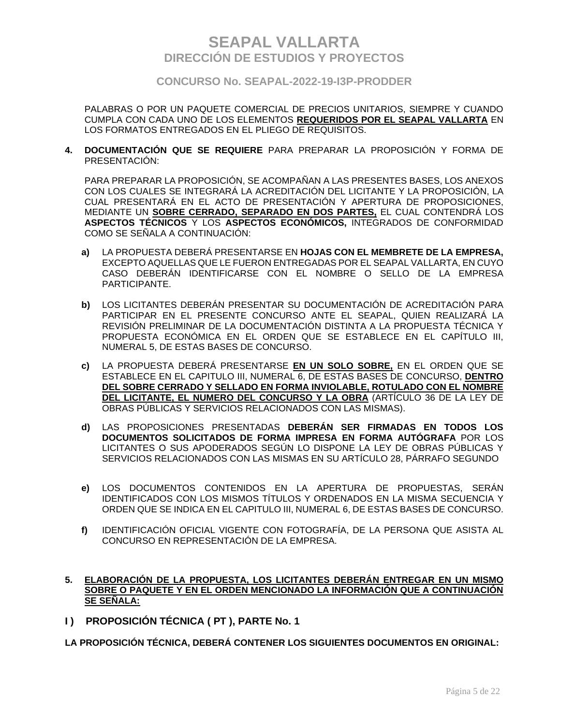**CONCURSO No. SEAPAL-2022-19-I3P-PRODDER**

PALABRAS O POR UN PAQUETE COMERCIAL DE PRECIOS UNITARIOS, SIEMPRE Y CUANDO CUMPLA CON CADA UNO DE LOS ELEMENTOS **REQUERIDOS POR EL SEAPAL VALLARTA** EN LOS FORMATOS ENTREGADOS EN EL PLIEGO DE REQUISITOS.

**4. DOCUMENTACIÓN QUE SE REQUIERE** PARA PREPARAR LA PROPOSICIÓN Y FORMA DE PRESENTACIÓN:

PARA PREPARAR LA PROPOSICIÓN, SE ACOMPAÑAN A LAS PRESENTES BASES, LOS ANEXOS CON LOS CUALES SE INTEGRARÁ LA ACREDITACIÓN DEL LICITANTE Y LA PROPOSICIÓN, LA CUAL PRESENTARÁ EN EL ACTO DE PRESENTACIÓN Y APERTURA DE PROPOSICIONES, MEDIANTE UN **SOBRE CERRADO, SEPARADO EN DOS PARTES,** EL CUAL CONTENDRÁ LOS **ASPECTOS TÉCNICOS** Y LOS **ASPECTOS ECONÓMICOS,** INTEGRADOS DE CONFORMIDAD COMO SE SEÑALA A CONTINUACIÓN:

- **a)** LA PROPUESTA DEBERÁ PRESENTARSE EN **HOJAS CON EL MEMBRETE DE LA EMPRESA,** EXCEPTO AQUELLAS QUE LE FUERON ENTREGADAS POR EL SEAPAL VALLARTA, EN CUYO CASO DEBERÁN IDENTIFICARSE CON EL NOMBRE O SELLO DE LA EMPRESA PARTICIPANTE.
- **b)** LOS LICITANTES DEBERÁN PRESENTAR SU DOCUMENTACIÓN DE ACREDITACIÓN PARA PARTICIPAR EN EL PRESENTE CONCURSO ANTE EL SEAPAL, QUIEN REALIZARÁ LA REVISIÓN PRELIMINAR DE LA DOCUMENTACIÓN DISTINTA A LA PROPUESTA TÉCNICA Y PROPUESTA ECONÓMICA EN EL ORDEN QUE SE ESTABLECE EN EL CAPÍTULO III, NUMERAL 5, DE ESTAS BASES DE CONCURSO.
- **c)** LA PROPUESTA DEBERÁ PRESENTARSE **EN UN SOLO SOBRE,** EN EL ORDEN QUE SE ESTABLECE EN EL CAPITULO III, NUMERAL 6, DE ESTAS BASES DE CONCURSO, **DENTRO DEL SOBRE CERRADO Y SELLADO EN FORMA INVIOLABLE, ROTULADO CON EL NOMBRE DEL LICITANTE, EL NUMERO DEL CONCURSO Y LA OBRA** (ARTÍCULO 36 DE LA LEY DE OBRAS PÚBLICAS Y SERVICIOS RELACIONADOS CON LAS MISMAS).
- **d)** LAS PROPOSICIONES PRESENTADAS **DEBERÁN SER FIRMADAS EN TODOS LOS DOCUMENTOS SOLICITADOS DE FORMA IMPRESA EN FORMA AUTÓGRAFA** POR LOS LICITANTES O SUS APODERADOS SEGÚN LO DISPONE LA LEY DE OBRAS PÚBLICAS Y SERVICIOS RELACIONADOS CON LAS MISMAS EN SU ARTÍCULO 28, PÁRRAFO SEGUNDO
- **e)** LOS DOCUMENTOS CONTENIDOS EN LA APERTURA DE PROPUESTAS, SERÁN IDENTIFICADOS CON LOS MISMOS TÍTULOS Y ORDENADOS EN LA MISMA SECUENCIA Y ORDEN QUE SE INDICA EN EL CAPITULO III, NUMERAL 6, DE ESTAS BASES DE CONCURSO.
- **f)** IDENTIFICACIÓN OFICIAL VIGENTE CON FOTOGRAFÍA, DE LA PERSONA QUE ASISTA AL CONCURSO EN REPRESENTACIÓN DE LA EMPRESA.

### **5. ELABORACIÓN DE LA PROPUESTA, LOS LICITANTES DEBERÁN ENTREGAR EN UN MISMO SOBRE O PAQUETE Y EN EL ORDEN MENCIONADO LA INFORMACIÓN QUE A CONTINUACIÓN SE SEÑALA:**

**I ) PROPOSICIÓN TÉCNICA ( PT ), PARTE No. 1**

**LA PROPOSICIÓN TÉCNICA, DEBERÁ CONTENER LOS SIGUIENTES DOCUMENTOS EN ORIGINAL:**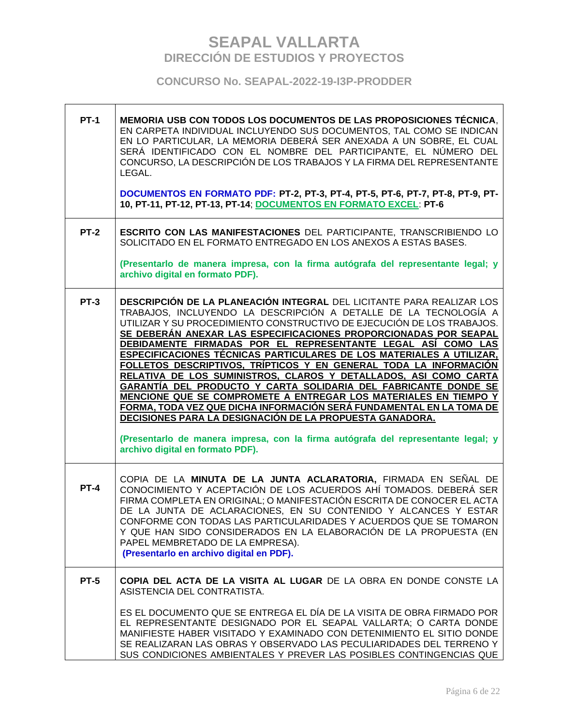| <b>PT-1</b> | MEMORIA USB CON TODOS LOS DOCUMENTOS DE LAS PROPOSICIONES TÉCNICA.<br>EN CARPETA INDIVIDUAL INCLUYENDO SUS DOCUMENTOS, TAL COMO SE INDICAN<br>EN LO PARTICULAR, LA MEMORIA DEBERÁ SER ANEXADA A UN SOBRE, EL CUAL<br>SERÁ IDENTIFICADO CON EL NOMBRE DEL PARTICIPANTE, EL NÚMERO DEL<br>CONCURSO, LA DESCRIPCIÓN DE LOS TRABAJOS Y LA FIRMA DEL REPRESENTANTE<br>LEGAL.<br>DOCUMENTOS EN FORMATO PDF: PT-2, PT-3, PT-4, PT-5, PT-6, PT-7, PT-8, PT-9, PT-<br>10, PT-11, PT-12, PT-13, PT-14; DOCUMENTOS EN FORMATO EXCEL: PT-6                                                                                                                                                                                                                                                                                                                                                                                                                                               |
|-------------|------------------------------------------------------------------------------------------------------------------------------------------------------------------------------------------------------------------------------------------------------------------------------------------------------------------------------------------------------------------------------------------------------------------------------------------------------------------------------------------------------------------------------------------------------------------------------------------------------------------------------------------------------------------------------------------------------------------------------------------------------------------------------------------------------------------------------------------------------------------------------------------------------------------------------------------------------------------------------|
| <b>PT-2</b> | <b>ESCRITO CON LAS MANIFESTACIONES DEL PARTICIPANTE, TRANSCRIBIENDO LO</b><br>SOLICITADO EN EL FORMATO ENTREGADO EN LOS ANEXOS A ESTAS BASES.                                                                                                                                                                                                                                                                                                                                                                                                                                                                                                                                                                                                                                                                                                                                                                                                                                |
|             | (Presentarlo de manera impresa, con la firma autógrafa del representante legal; y<br>archivo digital en formato PDF).                                                                                                                                                                                                                                                                                                                                                                                                                                                                                                                                                                                                                                                                                                                                                                                                                                                        |
| <b>PT-3</b> | DESCRIPCIÓN DE LA PLANEACIÓN INTEGRAL DEL LICITANTE PARA REALIZAR LOS<br>TRABAJOS, INCLUYENDO LA DESCRIPCIÓN A DETALLE DE LA TECNOLOGÍA A<br>UTILIZAR Y SU PROCEDIMIENTO CONSTRUCTIVO DE EJECUCIÓN DE LOS TRABAJOS.<br>SE DEBERÁN ANEXAR LAS ESPECIFICACIONES PROPORCIONADAS POR SEAPAL<br>DEBIDAMENTE FIRMADAS POR EL REPRESENTANTE LEGAL ASÍ COMO LAS<br>ESPECIFICACIONES TÉCNICAS PARTICULARES DE LOS MATERIALES A UTILIZAR,<br>FOLLETOS DESCRIPTIVOS, TRÍPTICOS Y EN GENERAL TODA LA INFORMACIÓN<br>RELATIVA DE LOS SUMINISTROS, CLAROS Y DETALLADOS, ASI COMO CARTA<br>GARANTÍA DEL PRODUCTO Y CARTA SOLIDARIA DEL FABRICANTE DONDE SE<br>MENCIONE QUE SE COMPROMETE A ENTREGAR LOS MATERIALES EN TIEMPO Y<br>FORMA, TODA VEZ QUE DICHA INFORMACIÓN SERÁ FUNDAMENTAL EN LA TOMA DE<br>DECISIONES PARA LA DESIGNACIÓN DE LA PROPUESTA GANADORA.<br>(Presentarlo de manera impresa, con la firma autógrafa del representante legal; y<br>archivo digital en formato PDF). |
| $PT-4$      | COPIA DE LA MINUTA DE LA JUNTA ACLARATORIA, FIRMADA EN SEÑAL DE<br>CONOCIMIENTO Y ACEPTACIÓN DE LOS ACUERDOS AHÍ TOMADOS. DEBERÁ SER<br>FIRMA COMPLETA EN ORIGINAL; O MANIFESTACIÓN ESCRITA DE CONOCER EL ACTA<br>DE LA JUNTA DE ACLARACIONES, EN SU CONTENIDO Y ALCANCES Y ESTAR<br>CONFORME CON TODAS LAS PARTICULARIDADES Y ACUERDOS QUE SE TOMARON<br>Y QUE HAN SIDO CONSIDERADOS EN LA ELABORACIÓN DE LA PROPUESTA (EN<br>PAPEL MEMBRETADO DE LA EMPRESA).<br>(Presentarlo en archivo digital en PDF).                                                                                                                                                                                                                                                                                                                                                                                                                                                                  |
| <b>PT-5</b> | COPIA DEL ACTA DE LA VISITA AL LUGAR DE LA OBRA EN DONDE CONSTE LA<br>ASISTENCIA DEL CONTRATISTA.<br>ES EL DOCUMENTO QUE SE ENTREGA EL DÍA DE LA VISITA DE OBRA FIRMADO POR<br>EL REPRESENTANTE DESIGNADO POR EL SEAPAL VALLARTA; O CARTA DONDE<br>MANIFIESTE HABER VISITADO Y EXAMINADO CON DETENIMIENTO EL SITIO DONDE<br>SE REALIZARAN LAS OBRAS Y OBSERVADO LAS PECULIARIDADES DEL TERRENO Y<br>SUS CONDICIONES AMBIENTALES Y PREVER LAS POSIBLES CONTINGENCIAS QUE                                                                                                                                                                                                                                                                                                                                                                                                                                                                                                      |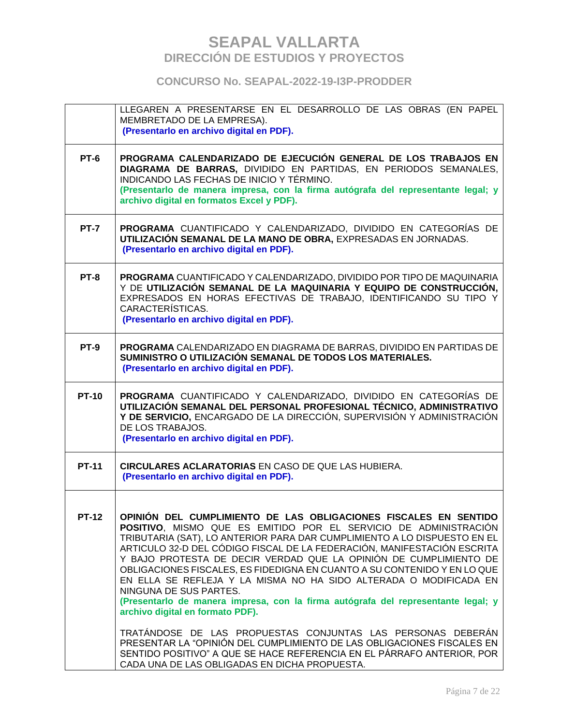|              | LLEGAREN A PRESENTARSE EN EL DESARROLLO DE LAS OBRAS (EN PAPEL<br>MEMBRETADO DE LA EMPRESA).<br>(Presentarlo en archivo digital en PDF).                                                                                                                                                                                                                                                                                                                                                                                                                                                                                                                             |
|--------------|----------------------------------------------------------------------------------------------------------------------------------------------------------------------------------------------------------------------------------------------------------------------------------------------------------------------------------------------------------------------------------------------------------------------------------------------------------------------------------------------------------------------------------------------------------------------------------------------------------------------------------------------------------------------|
| PT-6         | PROGRAMA CALENDARIZADO DE EJECUCIÓN GENERAL DE LOS TRABAJOS EN<br>DIAGRAMA DE BARRAS, DIVIDIDO EN PARTIDAS, EN PERIODOS SEMANALES,<br>INDICANDO LAS FECHAS DE INICIO Y TÉRMINO.<br>(Presentarlo de manera impresa, con la firma autógrafa del representante legal; y<br>archivo digital en formatos Excel y PDF).                                                                                                                                                                                                                                                                                                                                                    |
| <b>PT-7</b>  | PROGRAMA CUANTIFICADO Y CALENDARIZADO, DIVIDIDO EN CATEGORÍAS DE<br>UTILIZACIÓN SEMANAL DE LA MANO DE OBRA, EXPRESADAS EN JORNADAS.<br>(Presentarlo en archivo digital en PDF).                                                                                                                                                                                                                                                                                                                                                                                                                                                                                      |
| PT-8         | PROGRAMA CUANTIFICADO Y CALENDARIZADO, DIVIDIDO POR TIPO DE MAQUINARIA<br>Y DE UTILIZACIÓN SEMANAL DE LA MAQUINARIA Y EQUIPO DE CONSTRUCCIÓN,<br>EXPRESADOS EN HORAS EFECTIVAS DE TRABAJO, IDENTIFICANDO SU TIPO Y<br>CARACTERÍSTICAS.<br>(Presentarlo en archivo digital en PDF).                                                                                                                                                                                                                                                                                                                                                                                   |
| <b>PT-9</b>  | PROGRAMA CALENDARIZADO EN DIAGRAMA DE BARRAS, DIVIDIDO EN PARTIDAS DE<br>SUMINISTRO O UTILIZACIÓN SEMANAL DE TODOS LOS MATERIALES.<br>(Presentarlo en archivo digital en PDF).                                                                                                                                                                                                                                                                                                                                                                                                                                                                                       |
| <b>PT-10</b> | PROGRAMA CUANTIFICADO Y CALENDARIZADO, DIVIDIDO EN CATEGORÍAS DE<br>UTILIZACIÓN SEMANAL DEL PERSONAL PROFESIONAL TÉCNICO, ADMINISTRATIVO<br>Y DE SERVICIO, ENCARGADO DE LA DIRECCIÓN, SUPERVISIÓN Y ADMINISTRACIÓN<br>DE LOS TRABAJOS.<br>(Presentarlo en archivo digital en PDF).                                                                                                                                                                                                                                                                                                                                                                                   |
| <b>PT-11</b> | <b>CIRCULARES ACLARATORIAS EN CASO DE QUE LAS HUBIERA.</b><br>(Presentarlo en archivo digital en PDF).                                                                                                                                                                                                                                                                                                                                                                                                                                                                                                                                                               |
| <b>PT-12</b> | OPINIÓN DEL CUMPLIMIENTO DE LAS OBLIGACIONES FISCALES EN SENTIDO<br>POSITIVO, MISMO QUE ES EMITIDO POR EL SERVICIO DE ADMINISTRACIÓN<br>TRIBUTARIA (SAT), LO ANTERIOR PARA DAR CUMPLIMIENTO A LO DISPUESTO EN EL<br>ARTICULO 32-D DEL CÓDIGO FISCAL DE LA FEDERACIÓN, MANIFESTACIÓN ESCRITA<br>Y BAJO PROTESTA DE DECIR VERDAD QUE LA OPINIÓN DE CUMPLIMIENTO DE<br>OBLIGACIONES FISCALES, ES FIDEDIGNA EN CUANTO A SU CONTENIDO Y EN LO QUE<br>EN ELLA SE REFLEJA Y LA MISMA NO HA SIDO ALTERADA O MODIFICADA EN<br>NINGUNA DE SUS PARTES.<br>(Presentarlo de manera impresa, con la firma autógrafa del representante legal; y<br>archivo digital en formato PDF). |
|              | TRATÁNDOSE DE LAS PROPUESTAS CONJUNTAS LAS PERSONAS DEBERÁN<br>PRESENTAR LA "OPINIÓN DEL CUMPLIMIENTO DE LAS OBLIGACIONES FISCALES EN<br>SENTIDO POSITIVO" A QUE SE HACE REFERENCIA EN EL PÁRRAFO ANTERIOR, POR<br>CADA UNA DE LAS OBLIGADAS EN DICHA PROPUESTA.                                                                                                                                                                                                                                                                                                                                                                                                     |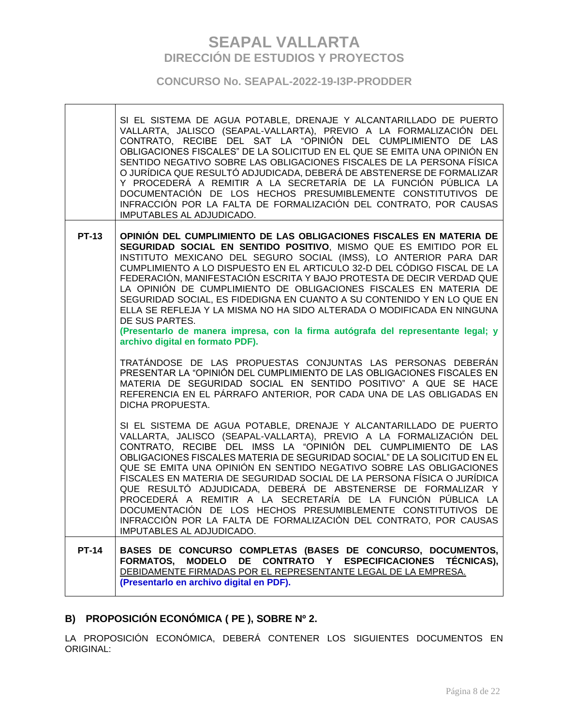**CONCURSO No. SEAPAL-2022-19-I3P-PRODDER**

|              | SI EL SISTEMA DE AGUA POTABLE, DRENAJE Y ALCANTARILLADO DE PUERTO<br>VALLARTA, JALISCO (SEAPAL-VALLARTA), PREVIO A LA FORMALIZACIÓN DEL<br>CONTRATO, RECIBE DEL SAT LA "OPINIÓN DEL CUMPLIMIENTO DE LAS<br>OBLIGACIONES FISCALES" DE LA SOLICITUD EN EL QUE SE EMITA UNA OPINIÓN EN<br>SENTIDO NEGATIVO SOBRE LAS OBLIGACIONES FISCALES DE LA PERSONA FÍSICA<br>O JURÍDICA QUE RESULTÓ ADJUDICADA, DEBERÁ DE ABSTENERSE DE FORMALIZAR<br>Y PROCEDERÁ A REMITIR A LA SECRETARÍA DE LA FUNCIÓN PÚBLICA LA<br>DOCUMENTACIÓN DE LOS HECHOS PRESUMIBLEMENTE CONSTITUTIVOS DE<br>INFRACCIÓN POR LA FALTA DE FORMALIZACIÓN DEL CONTRATO, POR CAUSAS<br>IMPUTABLES AL ADJUDICADO.                                                                                                                                                                                                                                                                                                                                                                   |
|--------------|---------------------------------------------------------------------------------------------------------------------------------------------------------------------------------------------------------------------------------------------------------------------------------------------------------------------------------------------------------------------------------------------------------------------------------------------------------------------------------------------------------------------------------------------------------------------------------------------------------------------------------------------------------------------------------------------------------------------------------------------------------------------------------------------------------------------------------------------------------------------------------------------------------------------------------------------------------------------------------------------------------------------------------------------|
| <b>PT-13</b> | OPINIÓN DEL CUMPLIMIENTO DE LAS OBLIGACIONES FISCALES EN MATERIA DE<br>SEGURIDAD SOCIAL EN SENTIDO POSITIVO, MISMO QUE ES EMITIDO POR EL<br>INSTITUTO MEXICANO DEL SEGURO SOCIAL (IMSS), LO ANTERIOR PARA DAR<br>CUMPLIMIENTO A LO DISPUESTO EN EL ARTICULO 32-D DEL CÓDIGO FISCAL DE LA<br>FEDERACIÓN, MANIFESTACIÓN ESCRITA Y BAJO PROTESTA DE DECIR VERDAD QUE<br>LA OPINIÓN DE CUMPLIMIENTO DE OBLIGACIONES FISCALES EN MATERIA DE<br>SEGURIDAD SOCIAL, ES FIDEDIGNA EN CUANTO A SU CONTENIDO Y EN LO QUE EN<br>ELLA SE REFLEJA Y LA MISMA NO HA SIDO ALTERADA O MODIFICADA EN NINGUNA<br>DE SUS PARTES.<br>(Presentarlo de manera impresa, con la firma autógrafa del representante legal; y<br>archivo digital en formato PDF).<br>TRATÁNDOSE DE LAS PROPUESTAS CONJUNTAS LAS PERSONAS DEBERÁN<br>PRESENTAR LA "OPINIÓN DEL CUMPLIMIENTO DE LAS OBLIGACIONES FISCALES EN<br>MATERIA DE SEGURIDAD SOCIAL EN SENTIDO POSITIVO" A QUE SE HACE<br>REFERENCIA EN EL PÁRRAFO ANTERIOR, POR CADA UNA DE LAS OBLIGADAS EN<br>DICHA PROPUESTA. |
|              | SI EL SISTEMA DE AGUA POTABLE, DRENAJE Y ALCANTARILLADO DE PUERTO<br>VALLARTA, JALISCO (SEAPAL-VALLARTA), PREVIO A LA FORMALIZACIÓN DEL<br>CONTRATO, RECIBE DEL IMSS LA "OPINIÓN DEL CUMPLIMIENTO DE LAS<br>OBLIGACIONES FISCALES MATERIA DE SEGURIDAD SOCIAL" DE LA SOLICITUD EN EL<br>QUE SE EMITA UNA OPINIÓN EN SENTIDO NEGATIVO SOBRE LAS OBLIGACIONES<br>FISCALES EN MATERIA DE SEGURIDAD SOCIAL DE LA PERSONA FÍSICA O JURÍDICA<br>QUE RESULTÓ ADJUDICADA, DEBERÁ DE ABSTENERSE DE FORMALIZAR Y<br>PROCEDERÁ A REMITIR A LA SECRETARÍA DE LA FUNCIÓN PÚBLICA LA<br>DOCUMENTACIÓN DE LOS HECHOS PRESUMIBLEMENTE CONSTITUTIVOS DE<br>INFRACCIÓN POR LA FALTA DE FORMALIZACIÓN DEL CONTRATO, POR CAUSAS<br>IMPUTABLES AL ADJUDICADO.                                                                                                                                                                                                                                                                                                    |
| <b>PT-14</b> | BASES DE CONCURSO COMPLETAS (BASES DE CONCURSO, DOCUMENTOS,<br>FORMATOS, MODELO DE CONTRATO Y ESPECIFICACIONES<br>TÉCNICAS),<br>DEBIDAMENTE FIRMADAS POR EL REPRESENTANTE LEGAL DE LA EMPRESA.<br>(Presentarlo en archivo digital en PDF).                                                                                                                                                                                                                                                                                                                                                                                                                                                                                                                                                                                                                                                                                                                                                                                                  |

# **B) PROPOSICIÓN ECONÓMICA ( PE ), SOBRE Nº 2.**

LA PROPOSICIÓN ECONÓMICA, DEBERÁ CONTENER LOS SIGUIENTES DOCUMENTOS EN ORIGINAL:

 $\overline{\phantom{a}}$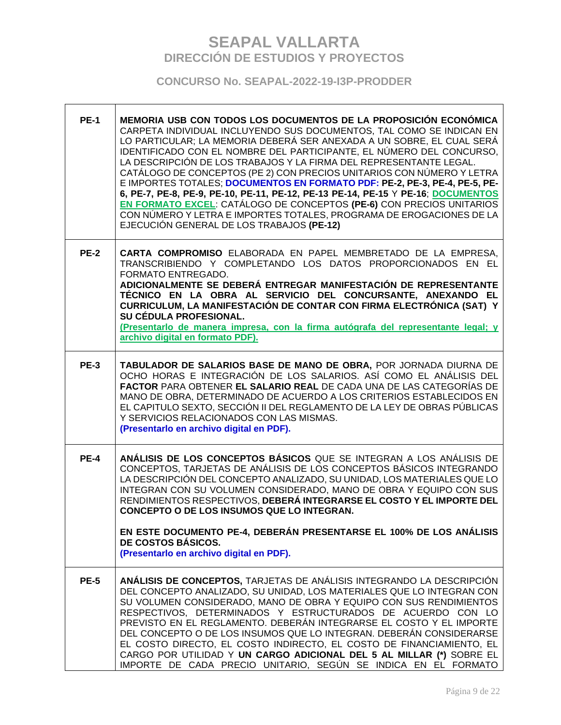| <b>PE-1</b> | MEMORIA USB CON TODOS LOS DOCUMENTOS DE LA PROPOSICIÓN ECONÓMICA<br>CARPETA INDIVIDUAL INCLUYENDO SUS DOCUMENTOS, TAL COMO SE INDICAN EN<br>LO PARTICULAR; LA MEMORIA DEBERÁ SER ANEXADA A UN SOBRE, EL CUAL SERÁ<br>IDENTIFICADO CON EL NOMBRE DEL PARTICIPANTE, EL NÚMERO DEL CONCURSO,<br>LA DESCRIPCIÓN DE LOS TRABAJOS Y LA FIRMA DEL REPRESENTANTE LEGAL.<br>CATÁLOGO DE CONCEPTOS (PE 2) CON PRECIOS UNITARIOS CON NÚMERO Y LETRA<br>E IMPORTES TOTALES; DOCUMENTOS EN FORMATO PDF: PE-2, PE-3, PE-4, PE-5, PE-<br>6, PE-7, PE-8, PE-9, PE-10, PE-11, PE-12, PE-13 PE-14, PE-15 Y PE-16; DOCUMENTOS<br>EN FORMATO EXCEL: CATÁLOGO DE CONCEPTOS (PE-6) CON PRECIOS UNITARIOS<br>CON NÚMERO Y LETRA E IMPORTES TOTALES, PROGRAMA DE EROGACIONES DE LA<br>EJECUCIÓN GENERAL DE LOS TRABAJOS (PE-12) |
|-------------|---------------------------------------------------------------------------------------------------------------------------------------------------------------------------------------------------------------------------------------------------------------------------------------------------------------------------------------------------------------------------------------------------------------------------------------------------------------------------------------------------------------------------------------------------------------------------------------------------------------------------------------------------------------------------------------------------------------------------------------------------------------------------------------------------------|
| <b>PE-2</b> | CARTA COMPROMISO ELABORADA EN PAPEL MEMBRETADO DE LA EMPRESA,<br>TRANSCRIBIENDO Y COMPLETANDO LOS DATOS PROPORCIONADOS EN EL<br>FORMATO ENTREGADO.<br>ADICIONALMENTE SE DEBERÁ ENTREGAR MANIFESTACIÓN DE REPRESENTANTE<br>TÉCNICO EN LA OBRA AL SERVICIO DEL CONCURSANTE, ANEXANDO EL<br>CURRICULUM, LA MANIFESTACIÓN DE CONTAR CON FIRMA ELECTRÓNICA (SAT) Y<br>SU CÉDULA PROFESIONAL.<br>(Presentarlo de manera impresa, con la firma autógrafa del representante legal; y<br>archivo digital en formato PDF).                                                                                                                                                                                                                                                                                        |
| <b>PE-3</b> | TABULADOR DE SALARIOS BASE DE MANO DE OBRA, POR JORNADA DIURNA DE<br>OCHO HORAS E INTEGRACIÓN DE LOS SALARIOS. ASÍ COMO EL ANÁLISIS DEL<br>FACTOR PARA OBTENER EL SALARIO REAL DE CADA UNA DE LAS CATEGORÍAS DE<br>MANO DE OBRA, DETERMINADO DE ACUERDO A LOS CRITERIOS ESTABLECIDOS EN<br>EL CAPITULO SEXTO, SECCIÓN II DEL REGLAMENTO DE LA LEY DE OBRAS PÚBLICAS<br>Y SERVICIOS RELACIONADOS CON LAS MISMAS.<br>(Presentarlo en archivo digital en PDF).                                                                                                                                                                                                                                                                                                                                             |
| <b>PE-4</b> | ANÁLISIS DE LOS CONCEPTOS BÁSICOS QUE SE INTEGRAN A LOS ANÁLISIS DE<br>CONCEPTOS, TARJETAS DE ANÁLISIS DE LOS CONCEPTOS BÁSICOS INTEGRANDO<br>LA DESCRIPCIÓN DEL CONCEPTO ANALIZADO, SU UNIDAD, LOS MATERIALES QUE LO<br>INTEGRAN CON SU VOLUMEN CONSIDERADO, MANO DE OBRA Y EQUIPO CON SUS<br>RENDIMIENTOS RESPECTIVOS, DEBERÁ INTEGRARSE EL COSTO Y EL IMPORTE DEL<br>CONCEPTO O DE LOS INSUMOS QUE LO INTEGRAN.<br>EN ESTE DOCUMENTO PE-4, DEBERÁN PRESENTARSE EL 100% DE LOS ANÁLISIS<br>DE COSTOS BÁSICOS.<br>(Presentarlo en archivo digital en PDF).                                                                                                                                                                                                                                             |
| <b>PE-5</b> | ANÁLISIS DE CONCEPTOS, TARJETAS DE ANÁLISIS INTEGRANDO LA DESCRIPCIÓN<br>DEL CONCEPTO ANALIZADO, SU UNIDAD, LOS MATERIALES QUE LO INTEGRAN CON<br>SU VOLUMEN CONSIDERADO, MANO DE OBRA Y EQUIPO CON SUS RENDIMIENTOS<br>RESPECTIVOS, DETERMINADOS Y ESTRUCTURADOS DE ACUERDO CON LO<br>PREVISTO EN EL REGLAMENTO. DEBERÁN INTEGRARSE EL COSTO Y EL IMPORTE<br>DEL CONCEPTO O DE LOS INSUMOS QUE LO INTEGRAN. DEBERÁN CONSIDERARSE<br>EL COSTO DIRECTO, EL COSTO INDIRECTO, EL COSTO DE FINANCIAMIENTO, EL<br>CARGO POR UTILIDAD Y UN CARGO ADICIONAL DEL 5 AL MILLAR (*) SOBRE EL<br>IMPORTE DE CADA PRECIO UNITARIO, SEGÚN SE INDICA EN EL FORMATO                                                                                                                                                     |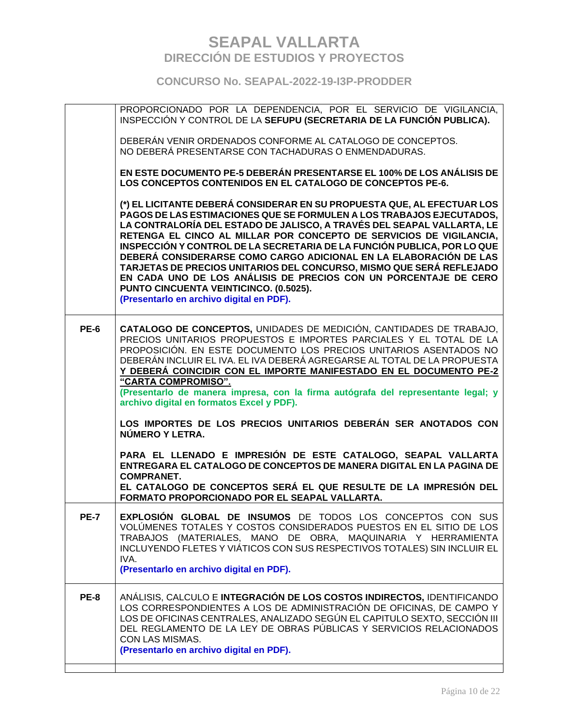|             | PROPORCIONADO POR LA DEPENDENCIA, POR EL SERVICIO DE VIGILANCIA,<br>INSPECCIÓN Y CONTROL DE LA SEFUPU (SECRETARIA DE LA FUNCIÓN PUBLICA).                                                                                                                                                                                                                                                                                                                                                                                                                                                                                                                                          |
|-------------|------------------------------------------------------------------------------------------------------------------------------------------------------------------------------------------------------------------------------------------------------------------------------------------------------------------------------------------------------------------------------------------------------------------------------------------------------------------------------------------------------------------------------------------------------------------------------------------------------------------------------------------------------------------------------------|
|             | DEBERÁN VENIR ORDENADOS CONFORME AL CATALOGO DE CONCEPTOS.<br>NO DEBERÁ PRESENTARSE CON TACHADURAS O ENMENDADURAS.                                                                                                                                                                                                                                                                                                                                                                                                                                                                                                                                                                 |
|             | EN ESTE DOCUMENTO PE-5 DEBERÁN PRESENTARSE EL 100% DE LOS ANÁLISIS DE<br>LOS CONCEPTOS CONTENIDOS EN EL CATALOGO DE CONCEPTOS PE-6.                                                                                                                                                                                                                                                                                                                                                                                                                                                                                                                                                |
|             | (*) EL LICITANTE DEBERÁ CONSIDERAR EN SU PROPUESTA QUE, AL EFECTUAR LOS<br>PAGOS DE LAS ESTIMACIONES QUE SE FORMULEN A LOS TRABAJOS EJECUTADOS,<br>LA CONTRALORÍA DEL ESTADO DE JALISCO, A TRAVÉS DEL SEAPAL VALLARTA, LE<br>RETENGA EL CINCO AL MILLAR POR CONCEPTO DE SERVICIOS DE VIGILANCIA,<br>INSPECCIÓN Y CONTROL DE LA SECRETARIA DE LA FUNCIÓN PUBLICA, POR LO QUE<br>DEBERÁ CONSIDERARSE COMO CARGO ADICIONAL EN LA ELABORACIÓN DE LAS<br>TARJETAS DE PRECIOS UNITARIOS DEL CONCURSO, MISMO QUE SERÁ REFLEJADO<br>EN CADA UNO DE LOS ANÁLISIS DE PRECIOS CON UN PORCENTAJE DE CERO<br>PUNTO CINCUENTA VEINTICINCO. (0.5025).<br>(Presentarlo en archivo digital en PDF). |
| <b>PE-6</b> | CATALOGO DE CONCEPTOS, UNIDADES DE MEDICIÓN, CANTIDADES DE TRABAJO,<br>PRECIOS UNITARIOS PROPUESTOS E IMPORTES PARCIALES Y EL TOTAL DE LA<br>PROPOSICIÓN. EN ESTE DOCUMENTO LOS PRECIOS UNITARIOS ASENTADOS NO<br>DEBERÁN INCLUIR EL IVA. EL IVA DEBERÁ AGREGARSE AL TOTAL DE LA PROPUESTA<br><u>Y DEBERÁ COINCIDIR CON EL IMPORTE MANIFESTADO EN EL DOCUMENTO PE-2</u><br>"CARTA COMPROMISO".<br>(Presentarlo de manera impresa, con la firma autógrafa del representante legal; y<br>archivo digital en formatos Excel y PDF).                                                                                                                                                   |
|             | LOS IMPORTES DE LOS PRECIOS UNITARIOS DEBERÁN SER ANOTADOS CON<br>NÚMERO Y LETRA.                                                                                                                                                                                                                                                                                                                                                                                                                                                                                                                                                                                                  |
|             | PARA EL LLENADO E IMPRESIÓN DE ESTE CATALOGO, SEAPAL VALLARTA<br><b>ENTREGARA EL CATALOGO DE CONCEPTOS DE MANERA DIGITAL EN LA PAGINA DE</b><br><b>COMPRANET.</b>                                                                                                                                                                                                                                                                                                                                                                                                                                                                                                                  |
|             | EL CATALOGO DE CONCEPTOS SERÁ EL QUE RESULTE DE LA IMPRESIÓN DEL<br>FORMATO PROPORCIONADO POR EL SEAPAL VALLARTA.                                                                                                                                                                                                                                                                                                                                                                                                                                                                                                                                                                  |
| <b>PE-7</b> | EXPLOSIÓN GLOBAL DE INSUMOS DE TODOS LOS CONCEPTOS CON SUS<br>VOLÚMENES TOTALES Y COSTOS CONSIDERADOS PUESTOS EN EL SITIO DE LOS<br>TRABAJOS (MATERIALES, MANO DE OBRA, MAQUINARIA Y HERRAMIENTA<br>INCLUYENDO FLETES Y VIÁTICOS CON SUS RESPECTIVOS TOTALES) SIN INCLUIR EL<br>IVA.<br>(Presentarlo en archivo digital en PDF).                                                                                                                                                                                                                                                                                                                                                   |
| <b>PE-8</b> | ANÁLISIS, CALCULO E INTEGRACIÓN DE LOS COSTOS INDIRECTOS, IDENTIFICANDO                                                                                                                                                                                                                                                                                                                                                                                                                                                                                                                                                                                                            |
|             | LOS CORRESPONDIENTES A LOS DE ADMINISTRACIÓN DE OFICINAS, DE CAMPO Y<br>LOS DE OFICINAS CENTRALES, ANALIZADO SEGÚN EL CAPITULO SEXTO, SECCIÓN III<br>DEL REGLAMENTO DE LA LEY DE OBRAS PÚBLICAS Y SERVICIOS RELACIONADOS<br>CON LAS MISMAS.<br>(Presentarlo en archivo digital en PDF).                                                                                                                                                                                                                                                                                                                                                                                            |
|             |                                                                                                                                                                                                                                                                                                                                                                                                                                                                                                                                                                                                                                                                                    |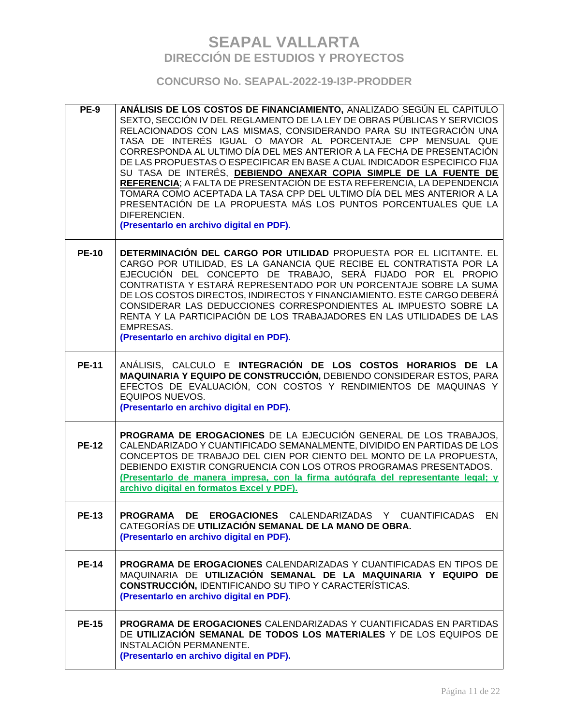| <b>PE-9</b>  | ANÁLISIS DE LOS COSTOS DE FINANCIAMIENTO, ANALIZADO SEGÚN EL CAPITULO<br>SEXTO, SECCIÓN IV DEL REGLAMENTO DE LA LEY DE OBRAS PÚBLICAS Y SERVICIOS<br>RELACIONADOS CON LAS MISMAS, CONSIDERANDO PARA SU INTEGRACIÓN UNA<br>TASA DE INTERÉS IGUAL O MAYOR AL PORCENTAJE CPP MENSUAL QUE<br>CORRESPONDA AL ULTIMO DÍA DEL MES ANTERIOR A LA FECHA DE PRESENTACIÓN<br>DE LAS PROPUESTAS O ESPECIFICAR EN BASE A CUAL INDICADOR ESPECIFICO FIJA<br>SU TASA DE INTERÉS, DEBIENDO ANEXAR COPIA SIMPLE DE LA FUENTE DE<br>REFERENCIA; A FALTA DE PRESENTACIÓN DE ESTA REFERENCIA, LA DEPENDENCIA<br>TOMARA COMO ACEPTADA LA TASA CPP DEL ULTIMO DÍA DEL MES ANTERIOR A LA<br>PRESENTACIÓN DE LA PROPUESTA MÁS LOS PUNTOS PORCENTUALES QUE LA<br>DIFERENCIEN.<br>(Presentarlo en archivo digital en PDF). |
|--------------|--------------------------------------------------------------------------------------------------------------------------------------------------------------------------------------------------------------------------------------------------------------------------------------------------------------------------------------------------------------------------------------------------------------------------------------------------------------------------------------------------------------------------------------------------------------------------------------------------------------------------------------------------------------------------------------------------------------------------------------------------------------------------------------------------|
| <b>PE-10</b> | DETERMINACIÓN DEL CARGO POR UTILIDAD PROPUESTA POR EL LICITANTE. EL<br>CARGO POR UTILIDAD, ES LA GANANCIA QUE RECIBE EL CONTRATISTA POR LA<br>EJECUCIÓN DEL CONCEPTO DE TRABAJO, SERÁ FIJADO POR EL PROPIO<br>CONTRATISTA Y ESTARÁ REPRESENTADO POR UN PORCENTAJE SOBRE LA SUMA<br>DE LOS COSTOS DIRECTOS, INDIRECTOS Y FINANCIAMIENTO. ESTE CARGO DEBERÁ<br>CONSIDERAR LAS DEDUCCIONES CORRESPONDIENTES AL IMPUESTO SOBRE LA<br>RENTA Y LA PARTICIPACIÓN DE LOS TRABAJADORES EN LAS UTILIDADES DE LAS<br><b>EMPRESAS.</b><br>(Presentarlo en archivo digital en PDF).                                                                                                                                                                                                                           |
| <b>PE-11</b> | ANÁLISIS, CALCULO E INTEGRACIÓN DE LOS COSTOS HORARIOS DE LA<br>MAQUINARIA Y EQUIPO DE CONSTRUCCIÓN, DEBIENDO CONSIDERAR ESTOS, PARA<br>EFECTOS DE EVALUACIÓN, CON COSTOS Y RENDIMIENTOS DE MAQUINAS Y<br><b>EQUIPOS NUEVOS.</b><br>(Presentarlo en archivo digital en PDF).                                                                                                                                                                                                                                                                                                                                                                                                                                                                                                                     |
| <b>PE-12</b> | PROGRAMA DE EROGACIONES DE LA EJECUCIÓN GENERAL DE LOS TRABAJOS,<br>CALENDARIZADO Y CUANTIFICADO SEMANALMENTE, DIVIDIDO EN PARTIDAS DE LOS<br>CONCEPTOS DE TRABAJO DEL CIEN POR CIENTO DEL MONTO DE LA PROPUESTA.<br>DEBIENDO EXISTIR CONGRUENCIA CON LOS OTROS PROGRAMAS PRESENTADOS.<br>(Presentarlo de manera impresa, con la firma autógrafa del representante legal; y<br>archivo digital en formatos Excel y PDF).                                                                                                                                                                                                                                                                                                                                                                         |
| <b>PE-13</b> | <b>PROGRAMA DE EROGACIONES</b> CALENDARIZADAS Y CUANTIFICADAS EN<br>CATEGORÍAS DE UTILIZACIÓN SEMANAL DE LA MANO DE OBRA.<br>(Presentarlo en archivo digital en PDF).                                                                                                                                                                                                                                                                                                                                                                                                                                                                                                                                                                                                                            |
| <b>PE-14</b> | PROGRAMA DE EROGACIONES CALENDARIZADAS Y CUANTIFICADAS EN TIPOS DE<br>MAQUINARIA DE UTILIZACIÓN SEMANAL DE LA MAQUINARIA Y EQUIPO DE<br><b>CONSTRUCCIÓN, IDENTIFICANDO SU TIPO Y CARACTERÍSTICAS.</b><br>(Presentarlo en archivo digital en PDF).                                                                                                                                                                                                                                                                                                                                                                                                                                                                                                                                                |
| <b>PE-15</b> | <b>PROGRAMA DE EROGACIONES CALENDARIZADAS Y CUANTIFICADAS EN PARTIDAS</b><br>DE UTILIZACIÓN SEMANAL DE TODOS LOS MATERIALES Y DE LOS EQUIPOS DE<br>INSTALACIÓN PERMANENTE.<br>(Presentarlo en archivo digital en PDF).                                                                                                                                                                                                                                                                                                                                                                                                                                                                                                                                                                           |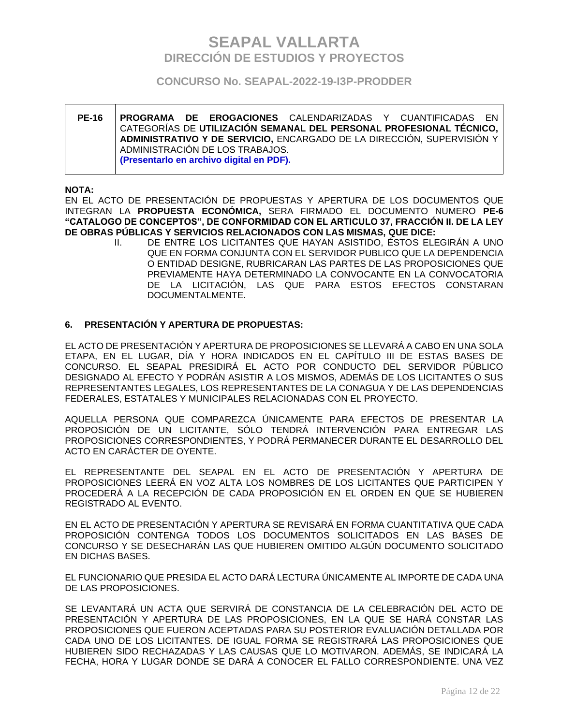### **CONCURSO No. SEAPAL-2022-19-I3P-PRODDER**

### **PE-16 PROGRAMA DE EROGACIONES** CALENDARIZADAS Y CUANTIFICADAS EN CATEGORÍAS DE **UTILIZACIÓN SEMANAL DEL PERSONAL PROFESIONAL TÉCNICO, ADMINISTRATIVO Y DE SERVICIO,** ENCARGADO DE LA DIRECCIÓN, SUPERVISIÓN Y ADMINISTRACIÓN DE LOS TRABAJOS. **(Presentarlo en archivo digital en PDF).**

#### **NOTA:**

EN EL ACTO DE PRESENTACIÓN DE PROPUESTAS Y APERTURA DE LOS DOCUMENTOS QUE INTEGRAN LA **PROPUESTA ECONÓMICA,** SERA FIRMADO EL DOCUMENTO NUMERO **PE-6 "CATALOGO DE CONCEPTOS", DE CONFORMIDAD CON EL ARTICULO 37, FRACCIÓN II. DE LA LEY DE OBRAS PÚBLICAS Y SERVICIOS RELACIONADOS CON LAS MISMAS, QUE DICE:**

II. DE ENTRE LOS LICITANTES QUE HAYAN ASISTIDO, ÉSTOS ELEGIRÁN A UNO QUE EN FORMA CONJUNTA CON EL SERVIDOR PUBLICO QUE LA DEPENDENCIA O ENTIDAD DESIGNE, RUBRICARAN LAS PARTES DE LAS PROPOSICIONES QUE PREVIAMENTE HAYA DETERMINADO LA CONVOCANTE EN LA CONVOCATORIA DE LA LICITACIÓN, LAS QUE PARA ESTOS EFECTOS CONSTARAN DOCUMENTALMENTE.

### **6. PRESENTACIÓN Y APERTURA DE PROPUESTAS:**

EL ACTO DE PRESENTACIÓN Y APERTURA DE PROPOSICIONES SE LLEVARÁ A CABO EN UNA SOLA ETAPA, EN EL LUGAR, DÍA Y HORA INDICADOS EN EL CAPÍTULO III DE ESTAS BASES DE CONCURSO. EL SEAPAL PRESIDIRÁ EL ACTO POR CONDUCTO DEL SERVIDOR PÚBLICO DESIGNADO AL EFECTO Y PODRÁN ASISTIR A LOS MISMOS, ADEMÁS DE LOS LICITANTES O SUS REPRESENTANTES LEGALES, LOS REPRESENTANTES DE LA CONAGUA Y DE LAS DEPENDENCIAS FEDERALES, ESTATALES Y MUNICIPALES RELACIONADAS CON EL PROYECTO.

AQUELLA PERSONA QUE COMPAREZCA ÚNICAMENTE PARA EFECTOS DE PRESENTAR LA PROPOSICIÓN DE UN LICITANTE, SÓLO TENDRÁ INTERVENCIÓN PARA ENTREGAR LAS PROPOSICIONES CORRESPONDIENTES, Y PODRÁ PERMANECER DURANTE EL DESARROLLO DEL ACTO EN CARÁCTER DE OYENTE.

EL REPRESENTANTE DEL SEAPAL EN EL ACTO DE PRESENTACIÓN Y APERTURA DE PROPOSICIONES LEERÁ EN VOZ ALTA LOS NOMBRES DE LOS LICITANTES QUE PARTICIPEN Y PROCEDERÁ A LA RECEPCIÓN DE CADA PROPOSICIÓN EN EL ORDEN EN QUE SE HUBIEREN REGISTRADO AL EVENTO.

EN EL ACTO DE PRESENTACIÓN Y APERTURA SE REVISARÁ EN FORMA CUANTITATIVA QUE CADA PROPOSICIÓN CONTENGA TODOS LOS DOCUMENTOS SOLICITADOS EN LAS BASES DE CONCURSO Y SE DESECHARÁN LAS QUE HUBIEREN OMITIDO ALGÚN DOCUMENTO SOLICITADO EN DICHAS BASES.

EL FUNCIONARIO QUE PRESIDA EL ACTO DARÁ LECTURA ÚNICAMENTE AL IMPORTE DE CADA UNA DE LAS PROPOSICIONES.

SE LEVANTARÁ UN ACTA QUE SERVIRÁ DE CONSTANCIA DE LA CELEBRACIÓN DEL ACTO DE PRESENTACIÓN Y APERTURA DE LAS PROPOSICIONES, EN LA QUE SE HARÁ CONSTAR LAS PROPOSICIONES QUE FUERON ACEPTADAS PARA SU POSTERIOR EVALUACIÓN DETALLADA POR CADA UNO DE LOS LICITANTES. DE IGUAL FORMA SE REGISTRARÁ LAS PROPOSICIONES QUE HUBIEREN SIDO RECHAZADAS Y LAS CAUSAS QUE LO MOTIVARON. ADEMÁS, SE INDICARÁ LA FECHA, HORA Y LUGAR DONDE SE DARÁ A CONOCER EL FALLO CORRESPONDIENTE. UNA VEZ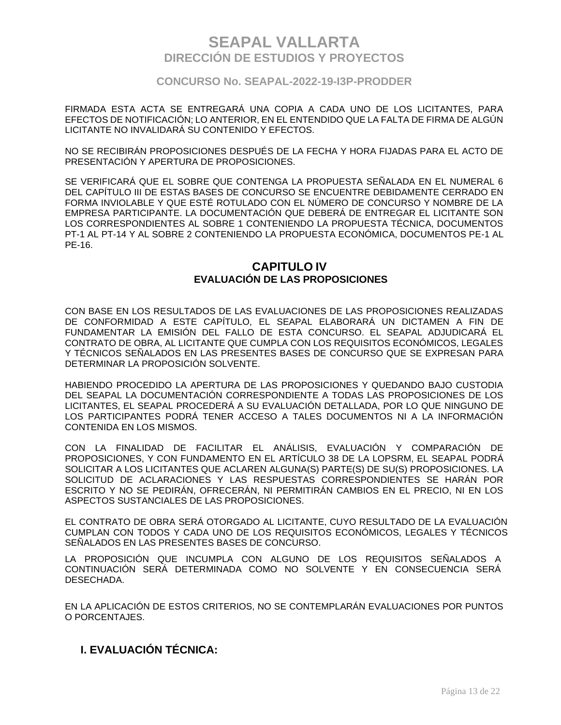### **CONCURSO No. SEAPAL-2022-19-I3P-PRODDER**

FIRMADA ESTA ACTA SE ENTREGARÁ UNA COPIA A CADA UNO DE LOS LICITANTES, PARA EFECTOS DE NOTIFICACIÓN; LO ANTERIOR, EN EL ENTENDIDO QUE LA FALTA DE FIRMA DE ALGÚN LICITANTE NO INVALIDARÁ SU CONTENIDO Y EFECTOS.

NO SE RECIBIRÁN PROPOSICIONES DESPUÉS DE LA FECHA Y HORA FIJADAS PARA EL ACTO DE PRESENTACIÓN Y APERTURA DE PROPOSICIONES.

SE VERIFICARÁ QUE EL SOBRE QUE CONTENGA LA PROPUESTA SEÑALADA EN EL NUMERAL 6 DEL CAPÍTULO III DE ESTAS BASES DE CONCURSO SE ENCUENTRE DEBIDAMENTE CERRADO EN FORMA INVIOLABLE Y QUE ESTÉ ROTULADO CON EL NÚMERO DE CONCURSO Y NOMBRE DE LA EMPRESA PARTICIPANTE. LA DOCUMENTACIÓN QUE DEBERÁ DE ENTREGAR EL LICITANTE SON LOS CORRESPONDIENTES AL SOBRE 1 CONTENIENDO LA PROPUESTA TÉCNICA, DOCUMENTOS PT-1 AL PT-14 Y AL SOBRE 2 CONTENIENDO LA PROPUESTA ECONÓMICA, DOCUMENTOS PE-1 AL PE-16.

## **CAPITULO IV EVALUACIÓN DE LAS PROPOSICIONES**

CON BASE EN LOS RESULTADOS DE LAS EVALUACIONES DE LAS PROPOSICIONES REALIZADAS DE CONFORMIDAD A ESTE CAPÍTULO, EL SEAPAL ELABORARÁ UN DICTAMEN A FIN DE FUNDAMENTAR LA EMISIÓN DEL FALLO DE ESTA CONCURSO. EL SEAPAL ADJUDICARÁ EL CONTRATO DE OBRA, AL LICITANTE QUE CUMPLA CON LOS REQUISITOS ECONÓMICOS, LEGALES Y TÉCNICOS SEÑALADOS EN LAS PRESENTES BASES DE CONCURSO QUE SE EXPRESAN PARA DETERMINAR LA PROPOSICIÓN SOLVENTE.

HABIENDO PROCEDIDO LA APERTURA DE LAS PROPOSICIONES Y QUEDANDO BAJO CUSTODIA DEL SEAPAL LA DOCUMENTACIÓN CORRESPONDIENTE A TODAS LAS PROPOSICIONES DE LOS LICITANTES, EL SEAPAL PROCEDERÁ A SU EVALUACIÓN DETALLADA, POR LO QUE NINGUNO DE LOS PARTICIPANTES PODRÁ TENER ACCESO A TALES DOCUMENTOS NI A LA INFORMACIÓN CONTENIDA EN LOS MISMOS.

CON LA FINALIDAD DE FACILITAR EL ANÁLISIS, EVALUACIÓN Y COMPARACIÓN DE PROPOSICIONES, Y CON FUNDAMENTO EN EL ARTÍCULO 38 DE LA LOPSRM, EL SEAPAL PODRÁ SOLICITAR A LOS LICITANTES QUE ACLAREN ALGUNA(S) PARTE(S) DE SU(S) PROPOSICIONES. LA SOLICITUD DE ACLARACIONES Y LAS RESPUESTAS CORRESPONDIENTES SE HARÁN POR ESCRITO Y NO SE PEDIRÁN, OFRECERÁN, NI PERMITIRÁN CAMBIOS EN EL PRECIO, NI EN LOS ASPECTOS SUSTANCIALES DE LAS PROPOSICIONES.

EL CONTRATO DE OBRA SERÁ OTORGADO AL LICITANTE, CUYO RESULTADO DE LA EVALUACIÓN CUMPLAN CON TODOS Y CADA UNO DE LOS REQUISITOS ECONÓMICOS, LEGALES Y TÉCNICOS SEÑALADOS EN LAS PRESENTES BASES DE CONCURSO.

LA PROPOSICIÓN QUE INCUMPLA CON ALGUNO DE LOS REQUISITOS SEÑALADOS A CONTINUACIÓN SERÁ DETERMINADA COMO NO SOLVENTE Y EN CONSECUENCIA SERÁ DESECHADA.

EN LA APLICACIÓN DE ESTOS CRITERIOS, NO SE CONTEMPLARÁN EVALUACIONES POR PUNTOS O PORCENTAJES.

## **I. EVALUACIÓN TÉCNICA:**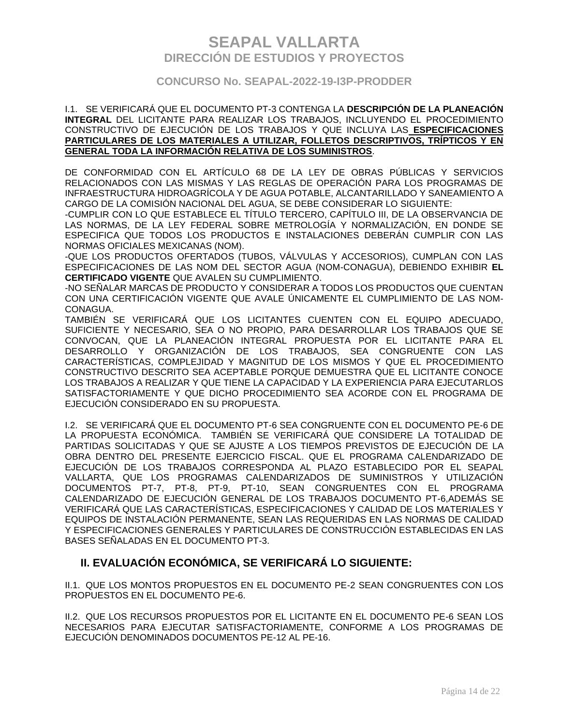### **CONCURSO No. SEAPAL-2022-19-I3P-PRODDER**

#### I.1. SE VERIFICARÁ QUE EL DOCUMENTO PT-3 CONTENGA LA **DESCRIPCIÓN DE LA PLANEACIÓN INTEGRAL** DEL LICITANTE PARA REALIZAR LOS TRABAJOS, INCLUYENDO EL PROCEDIMIENTO CONSTRUCTIVO DE EJECUCIÓN DE LOS TRABAJOS Y QUE INCLUYA LAS **ESPECIFICACIONES PARTICULARES DE LOS MATERIALES A UTILIZAR, FOLLETOS DESCRIPTIVOS, TRÍPTICOS Y EN GENERAL TODA LA INFORMACIÓN RELATIVA DE LOS SUMINISTROS**.

DE CONFORMIDAD CON EL ARTÍCULO 68 DE LA LEY DE OBRAS PÚBLICAS Y SERVICIOS RELACIONADOS CON LAS MISMAS Y LAS REGLAS DE OPERACIÓN PARA LOS PROGRAMAS DE INFRAESTRUCTURA HIDROAGRÍCOLA Y DE AGUA POTABLE, ALCANTARILLADO Y SANEAMIENTO A CARGO DE LA COMISIÓN NACIONAL DEL AGUA, SE DEBE CONSIDERAR LO SIGUIENTE:

-CUMPLIR CON LO QUE ESTABLECE EL TÍTULO TERCERO, CAPÍTULO III, DE LA OBSERVANCIA DE LAS NORMAS, DE LA LEY FEDERAL SOBRE METROLOGÍA Y NORMALIZACIÓN, EN DONDE SE ESPECIFICA QUE TODOS LOS PRODUCTOS E INSTALACIONES DEBERÁN CUMPLIR CON LAS NORMAS OFICIALES MEXICANAS (NOM).

-QUE LOS PRODUCTOS OFERTADOS (TUBOS, VÁLVULAS Y ACCESORIOS), CUMPLAN CON LAS ESPECIFICACIONES DE LAS NOM DEL SECTOR AGUA (NOM-CONAGUA), DEBIENDO EXHIBIR **EL CERTIFICADO VIGENTE** QUE AVALEN SU CUMPLIMIENTO.

-NO SEÑALAR MARCAS DE PRODUCTO Y CONSIDERAR A TODOS LOS PRODUCTOS QUE CUENTAN CON UNA CERTIFICACIÓN VIGENTE QUE AVALE ÚNICAMENTE EL CUMPLIMIENTO DE LAS NOM-CONAGUA.

TAMBIÉN SE VERIFICARÁ QUE LOS LICITANTES CUENTEN CON EL EQUIPO ADECUADO, SUFICIENTE Y NECESARIO, SEA O NO PROPIO, PARA DESARROLLAR LOS TRABAJOS QUE SE CONVOCAN, QUE LA PLANEACIÓN INTEGRAL PROPUESTA POR EL LICITANTE PARA EL DESARROLLO Y ORGANIZACIÓN DE LOS TRABAJOS, SEA CONGRUENTE CON LAS CARACTERÍSTICAS, COMPLEJIDAD Y MAGNITUD DE LOS MISMOS Y QUE EL PROCEDIMIENTO CONSTRUCTIVO DESCRITO SEA ACEPTABLE PORQUE DEMUESTRA QUE EL LICITANTE CONOCE LOS TRABAJOS A REALIZAR Y QUE TIENE LA CAPACIDAD Y LA EXPERIENCIA PARA EJECUTARLOS SATISFACTORIAMENTE Y QUE DICHO PROCEDIMIENTO SEA ACORDE CON EL PROGRAMA DE EJECUCIÓN CONSIDERADO EN SU PROPUESTA.

I.2. SE VERIFICARÁ QUE EL DOCUMENTO PT-6 SEA CONGRUENTE CON EL DOCUMENTO PE-6 DE LA PROPUESTA ECONÓMICA. TAMBIÉN SE VERIFICARÁ QUE CONSIDERE LA TOTALIDAD DE PARTIDAS SOLICITADAS Y QUE SE AJUSTE A LOS TIEMPOS PREVISTOS DE EJECUCIÓN DE LA OBRA DENTRO DEL PRESENTE EJERCICIO FISCAL. QUE EL PROGRAMA CALENDARIZADO DE EJECUCIÓN DE LOS TRABAJOS CORRESPONDA AL PLAZO ESTABLECIDO POR EL SEAPAL VALLARTA, QUE LOS PROGRAMAS CALENDARIZADOS DE SUMINISTROS Y UTILIZACIÓN DOCUMENTOS PT-7, PT-8, PT-9, PT-10, SEAN CONGRUENTES CON EL PROGRAMA CALENDARIZADO DE EJECUCIÓN GENERAL DE LOS TRABAJOS DOCUMENTO PT-6,ADEMÁS SE VERIFICARÁ QUE LAS CARACTERÍSTICAS, ESPECIFICACIONES Y CALIDAD DE LOS MATERIALES Y EQUIPOS DE INSTALACIÓN PERMANENTE, SEAN LAS REQUERIDAS EN LAS NORMAS DE CALIDAD Y ESPECIFICACIONES GENERALES Y PARTICULARES DE CONSTRUCCIÓN ESTABLECIDAS EN LAS BASES SEÑALADAS EN EL DOCUMENTO PT-3.

## **II. EVALUACIÓN ECONÓMICA, SE VERIFICARÁ LO SIGUIENTE:**

II.1. QUE LOS MONTOS PROPUESTOS EN EL DOCUMENTO PE-2 SEAN CONGRUENTES CON LOS PROPUESTOS EN EL DOCUMENTO PE-6.

II.2. QUE LOS RECURSOS PROPUESTOS POR EL LICITANTE EN EL DOCUMENTO PE-6 SEAN LOS NECESARIOS PARA EJECUTAR SATISFACTORIAMENTE, CONFORME A LOS PROGRAMAS DE EJECUCIÓN DENOMINADOS DOCUMENTOS PE-12 AL PE-16.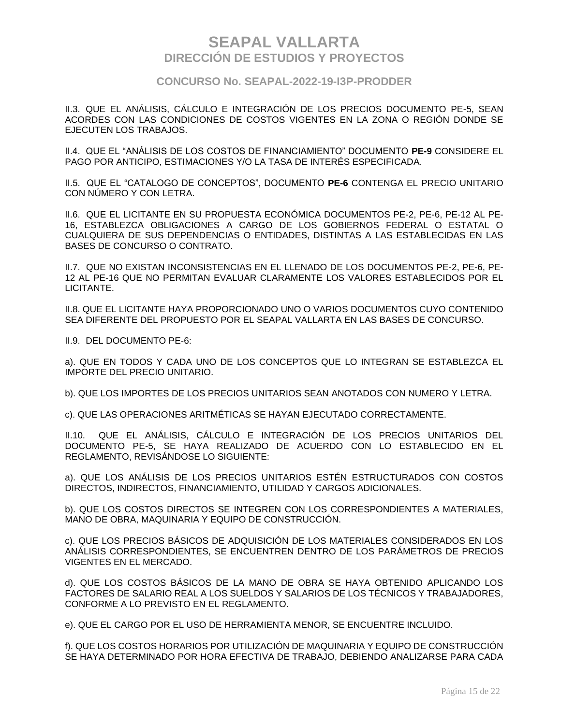### **CONCURSO No. SEAPAL-2022-19-I3P-PRODDER**

II.3. QUE EL ANÁLISIS, CÁLCULO E INTEGRACIÓN DE LOS PRECIOS DOCUMENTO PE-5, SEAN ACORDES CON LAS CONDICIONES DE COSTOS VIGENTES EN LA ZONA O REGIÓN DONDE SE EJECUTEN LOS TRABAJOS.

II.4. QUE EL "ANÁLISIS DE LOS COSTOS DE FINANCIAMIENTO" DOCUMENTO **PE-9** CONSIDERE EL PAGO POR ANTICIPO, ESTIMACIONES Y/O LA TASA DE INTERÉS ESPECIFICADA.

II.5. QUE EL "CATALOGO DE CONCEPTOS", DOCUMENTO **PE-6** CONTENGA EL PRECIO UNITARIO CON NÚMERO Y CON LETRA.

II.6. QUE EL LICITANTE EN SU PROPUESTA ECONÓMICA DOCUMENTOS PE-2, PE-6, PE-12 AL PE-16, ESTABLEZCA OBLIGACIONES A CARGO DE LOS GOBIERNOS FEDERAL O ESTATAL O CUALQUIERA DE SUS DEPENDENCIAS O ENTIDADES, DISTINTAS A LAS ESTABLECIDAS EN LAS BASES DE CONCURSO O CONTRATO.

II.7. QUE NO EXISTAN INCONSISTENCIAS EN EL LLENADO DE LOS DOCUMENTOS PE-2, PE-6, PE-12 AL PE-16 QUE NO PERMITAN EVALUAR CLARAMENTE LOS VALORES ESTABLECIDOS POR EL LICITANTE.

II.8. QUE EL LICITANTE HAYA PROPORCIONADO UNO O VARIOS DOCUMENTOS CUYO CONTENIDO SEA DIFERENTE DEL PROPUESTO POR EL SEAPAL VALLARTA EN LAS BASES DE CONCURSO.

II.9. DEL DOCUMENTO PE-6:

a). QUE EN TODOS Y CADA UNO DE LOS CONCEPTOS QUE LO INTEGRAN SE ESTABLEZCA EL IMPORTE DEL PRECIO UNITARIO.

b). QUE LOS IMPORTES DE LOS PRECIOS UNITARIOS SEAN ANOTADOS CON NUMERO Y LETRA.

c). QUE LAS OPERACIONES ARITMÉTICAS SE HAYAN EJECUTADO CORRECTAMENTE.

II.10. QUE EL ANÁLISIS, CÁLCULO E INTEGRACIÓN DE LOS PRECIOS UNITARIOS DEL DOCUMENTO PE-5, SE HAYA REALIZADO DE ACUERDO CON LO ESTABLECIDO EN EL REGLAMENTO, REVISÁNDOSE LO SIGUIENTE:

a). QUE LOS ANÁLISIS DE LOS PRECIOS UNITARIOS ESTÉN ESTRUCTURADOS CON COSTOS DIRECTOS, INDIRECTOS, FINANCIAMIENTO, UTILIDAD Y CARGOS ADICIONALES.

b). QUE LOS COSTOS DIRECTOS SE INTEGREN CON LOS CORRESPONDIENTES A MATERIALES, MANO DE OBRA, MAQUINARIA Y EQUIPO DE CONSTRUCCIÓN.

c). QUE LOS PRECIOS BÁSICOS DE ADQUISICIÓN DE LOS MATERIALES CONSIDERADOS EN LOS ANÁLISIS CORRESPONDIENTES, SE ENCUENTREN DENTRO DE LOS PARÁMETROS DE PRECIOS VIGENTES EN EL MERCADO.

d). QUE LOS COSTOS BÁSICOS DE LA MANO DE OBRA SE HAYA OBTENIDO APLICANDO LOS FACTORES DE SALARIO REAL A LOS SUELDOS Y SALARIOS DE LOS TÉCNICOS Y TRABAJADORES, CONFORME A LO PREVISTO EN EL REGLAMENTO.

e). QUE EL CARGO POR EL USO DE HERRAMIENTA MENOR, SE ENCUENTRE INCLUIDO.

f). QUE LOS COSTOS HORARIOS POR UTILIZACIÓN DE MAQUINARIA Y EQUIPO DE CONSTRUCCIÓN SE HAYA DETERMINADO POR HORA EFECTIVA DE TRABAJO, DEBIENDO ANALIZARSE PARA CADA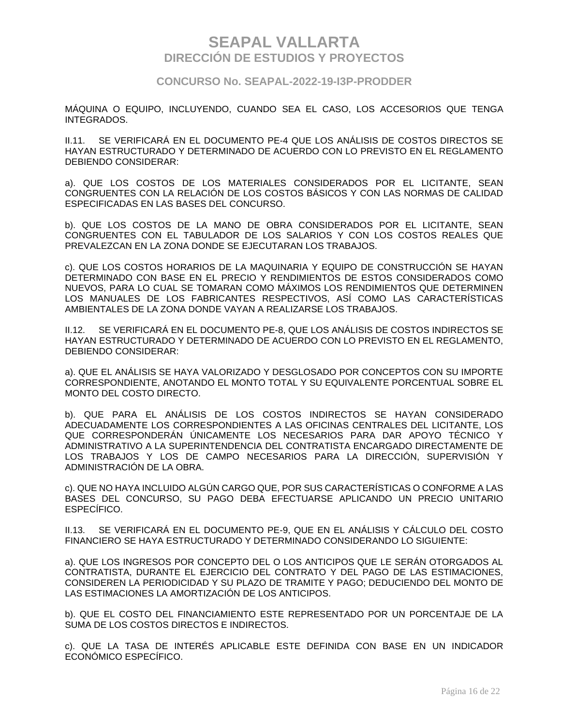### **CONCURSO No. SEAPAL-2022-19-I3P-PRODDER**

MÁQUINA O EQUIPO, INCLUYENDO, CUANDO SEA EL CASO, LOS ACCESORIOS QUE TENGA INTEGRADOS.

II.11. SE VERIFICARÁ EN EL DOCUMENTO PE-4 QUE LOS ANÁLISIS DE COSTOS DIRECTOS SE HAYAN ESTRUCTURADO Y DETERMINADO DE ACUERDO CON LO PREVISTO EN EL REGLAMENTO DEBIENDO CONSIDERAR:

a). QUE LOS COSTOS DE LOS MATERIALES CONSIDERADOS POR EL LICITANTE, SEAN CONGRUENTES CON LA RELACIÓN DE LOS COSTOS BÁSICOS Y CON LAS NORMAS DE CALIDAD ESPECIFICADAS EN LAS BASES DEL CONCURSO.

b). QUE LOS COSTOS DE LA MANO DE OBRA CONSIDERADOS POR EL LICITANTE, SEAN CONGRUENTES CON EL TABULADOR DE LOS SALARIOS Y CON LOS COSTOS REALES QUE PREVALEZCAN EN LA ZONA DONDE SE EJECUTARAN LOS TRABAJOS.

c). QUE LOS COSTOS HORARIOS DE LA MAQUINARIA Y EQUIPO DE CONSTRUCCIÓN SE HAYAN DETERMINADO CON BASE EN EL PRECIO Y RENDIMIENTOS DE ESTOS CONSIDERADOS COMO NUEVOS, PARA LO CUAL SE TOMARAN COMO MÁXIMOS LOS RENDIMIENTOS QUE DETERMINEN LOS MANUALES DE LOS FABRICANTES RESPECTIVOS, ASÍ COMO LAS CARACTERÍSTICAS AMBIENTALES DE LA ZONA DONDE VAYAN A REALIZARSE LOS TRABAJOS.

II.12. SE VERIFICARÁ EN EL DOCUMENTO PE-8, QUE LOS ANÁLISIS DE COSTOS INDIRECTOS SE HAYAN ESTRUCTURADO Y DETERMINADO DE ACUERDO CON LO PREVISTO EN EL REGLAMENTO, DEBIENDO CONSIDERAR:

a). QUE EL ANÁLISIS SE HAYA VALORIZADO Y DESGLOSADO POR CONCEPTOS CON SU IMPORTE CORRESPONDIENTE, ANOTANDO EL MONTO TOTAL Y SU EQUIVALENTE PORCENTUAL SOBRE EL MONTO DEL COSTO DIRECTO.

b). QUE PARA EL ANÁLISIS DE LOS COSTOS INDIRECTOS SE HAYAN CONSIDERADO ADECUADAMENTE LOS CORRESPONDIENTES A LAS OFICINAS CENTRALES DEL LICITANTE, LOS QUE CORRESPONDERÁN ÚNICAMENTE LOS NECESARIOS PARA DAR APOYO TÉCNICO Y ADMINISTRATIVO A LA SUPERINTENDENCIA DEL CONTRATISTA ENCARGADO DIRECTAMENTE DE LOS TRABAJOS Y LOS DE CAMPO NECESARIOS PARA LA DIRECCIÓN, SUPERVISIÓN Y ADMINISTRACIÓN DE LA OBRA.

c). QUE NO HAYA INCLUIDO ALGÚN CARGO QUE, POR SUS CARACTERÍSTICAS O CONFORME A LAS BASES DEL CONCURSO, SU PAGO DEBA EFECTUARSE APLICANDO UN PRECIO UNITARIO ESPECÍFICO.

II.13. SE VERIFICARÁ EN EL DOCUMENTO PE-9, QUE EN EL ANÁLISIS Y CÁLCULO DEL COSTO FINANCIERO SE HAYA ESTRUCTURADO Y DETERMINADO CONSIDERANDO LO SIGUIENTE:

a). QUE LOS INGRESOS POR CONCEPTO DEL O LOS ANTICIPOS QUE LE SERÁN OTORGADOS AL CONTRATISTA, DURANTE EL EJERCICIO DEL CONTRATO Y DEL PAGO DE LAS ESTIMACIONES, CONSIDEREN LA PERIODICIDAD Y SU PLAZO DE TRAMITE Y PAGO; DEDUCIENDO DEL MONTO DE LAS ESTIMACIONES LA AMORTIZACIÓN DE LOS ANTICIPOS.

b). QUE EL COSTO DEL FINANCIAMIENTO ESTE REPRESENTADO POR UN PORCENTAJE DE LA SUMA DE LOS COSTOS DIRECTOS E INDIRECTOS.

c). QUE LA TASA DE INTERÉS APLICABLE ESTE DEFINIDA CON BASE EN UN INDICADOR ECONÓMICO ESPECÍFICO.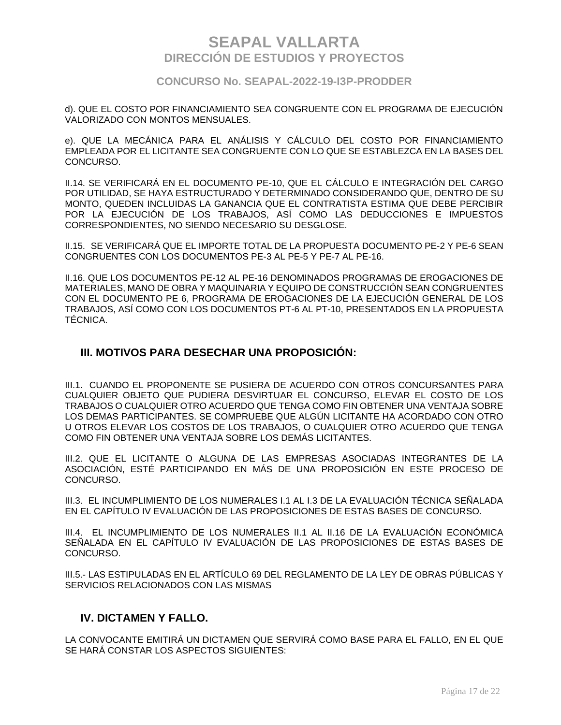### **CONCURSO No. SEAPAL-2022-19-I3P-PRODDER**

d). QUE EL COSTO POR FINANCIAMIENTO SEA CONGRUENTE CON EL PROGRAMA DE EJECUCIÓN VALORIZADO CON MONTOS MENSUALES.

e). QUE LA MECÁNICA PARA EL ANÁLISIS Y CÁLCULO DEL COSTO POR FINANCIAMIENTO EMPLEADA POR EL LICITANTE SEA CONGRUENTE CON LO QUE SE ESTABLEZCA EN LA BASES DEL CONCURSO.

II.14. SE VERIFICARÁ EN EL DOCUMENTO PE-10, QUE EL CÁLCULO E INTEGRACIÓN DEL CARGO POR UTILIDAD, SE HAYA ESTRUCTURADO Y DETERMINADO CONSIDERANDO QUE, DENTRO DE SU MONTO, QUEDEN INCLUIDAS LA GANANCIA QUE EL CONTRATISTA ESTIMA QUE DEBE PERCIBIR POR LA EJECUCIÓN DE LOS TRABAJOS, ASÍ COMO LAS DEDUCCIONES E IMPUESTOS CORRESPONDIENTES, NO SIENDO NECESARIO SU DESGLOSE.

II.15. SE VERIFICARÁ QUE EL IMPORTE TOTAL DE LA PROPUESTA DOCUMENTO PE-2 Y PE-6 SEAN CONGRUENTES CON LOS DOCUMENTOS PE-3 AL PE-5 Y PE-7 AL PE-16.

II.16. QUE LOS DOCUMENTOS PE-12 AL PE-16 DENOMINADOS PROGRAMAS DE EROGACIONES DE MATERIALES, MANO DE OBRA Y MAQUINARIA Y EQUIPO DE CONSTRUCCIÓN SEAN CONGRUENTES CON EL DOCUMENTO PE 6, PROGRAMA DE EROGACIONES DE LA EJECUCIÓN GENERAL DE LOS TRABAJOS, ASÍ COMO CON LOS DOCUMENTOS PT-6 AL PT-10, PRESENTADOS EN LA PROPUESTA TÉCNICA.

### **III. MOTIVOS PARA DESECHAR UNA PROPOSICIÓN:**

III.1. CUANDO EL PROPONENTE SE PUSIERA DE ACUERDO CON OTROS CONCURSANTES PARA CUALQUIER OBJETO QUE PUDIERA DESVIRTUAR EL CONCURSO, ELEVAR EL COSTO DE LOS TRABAJOS O CUALQUIER OTRO ACUERDO QUE TENGA COMO FIN OBTENER UNA VENTAJA SOBRE LOS DEMAS PARTICIPANTES. SE COMPRUEBE QUE ALGÚN LICITANTE HA ACORDADO CON OTRO U OTROS ELEVAR LOS COSTOS DE LOS TRABAJOS, O CUALQUIER OTRO ACUERDO QUE TENGA COMO FIN OBTENER UNA VENTAJA SOBRE LOS DEMÁS LICITANTES.

III.2. QUE EL LICITANTE O ALGUNA DE LAS EMPRESAS ASOCIADAS INTEGRANTES DE LA ASOCIACIÓN, ESTÉ PARTICIPANDO EN MÁS DE UNA PROPOSICIÓN EN ESTE PROCESO DE CONCURSO.

III.3. EL INCUMPLIMIENTO DE LOS NUMERALES I.1 AL I.3 DE LA EVALUACIÓN TÉCNICA SEÑALADA EN EL CAPÍTULO IV EVALUACIÓN DE LAS PROPOSICIONES DE ESTAS BASES DE CONCURSO.

III.4. EL INCUMPLIMIENTO DE LOS NUMERALES II.1 AL II.16 DE LA EVALUACIÓN ECONÓMICA SEÑALADA EN EL CAPÍTULO IV EVALUACIÓN DE LAS PROPOSICIONES DE ESTAS BASES DE CONCURSO.

III.5.- LAS ESTIPULADAS EN EL ARTÍCULO 69 DEL REGLAMENTO DE LA LEY DE OBRAS PÚBLICAS Y SERVICIOS RELACIONADOS CON LAS MISMAS

### **IV. DICTAMEN Y FALLO.**

LA CONVOCANTE EMITIRÁ UN DICTAMEN QUE SERVIRÁ COMO BASE PARA EL FALLO, EN EL QUE SE HARÁ CONSTAR LOS ASPECTOS SIGUIENTES: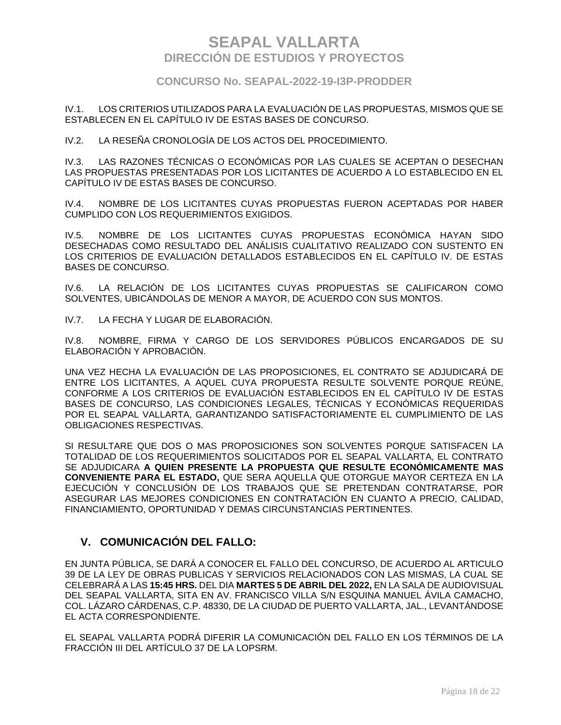### **CONCURSO No. SEAPAL-2022-19-I3P-PRODDER**

IV.1. LOS CRITERIOS UTILIZADOS PARA LA EVALUACIÓN DE LAS PROPUESTAS, MISMOS QUE SE ESTABLECEN EN EL CAPÍTULO IV DE ESTAS BASES DE CONCURSO.

IV.2. LA RESEÑA CRONOLOGÍA DE LOS ACTOS DEL PROCEDIMIENTO.

IV.3. LAS RAZONES TÉCNICAS O ECONÓMICAS POR LAS CUALES SE ACEPTAN O DESECHAN LAS PROPUESTAS PRESENTADAS POR LOS LICITANTES DE ACUERDO A LO ESTABLECIDO EN EL CAPÍTULO IV DE ESTAS BASES DE CONCURSO.

IV.4. NOMBRE DE LOS LICITANTES CUYAS PROPUESTAS FUERON ACEPTADAS POR HABER CUMPLIDO CON LOS REQUERIMIENTOS EXIGIDOS.

IV.5. NOMBRE DE LOS LICITANTES CUYAS PROPUESTAS ECONÓMICA HAYAN SIDO DESECHADAS COMO RESULTADO DEL ANÁLISIS CUALITATIVO REALIZADO CON SUSTENTO EN LOS CRITERIOS DE EVALUACIÓN DETALLADOS ESTABLECIDOS EN EL CAPÍTULO IV. DE ESTAS BASES DE CONCURSO.

IV.6. LA RELACIÓN DE LOS LICITANTES CUYAS PROPUESTAS SE CALIFICARON COMO SOLVENTES, UBICÁNDOLAS DE MENOR A MAYOR, DE ACUERDO CON SUS MONTOS.

IV.7. LA FECHA Y LUGAR DE ELABORACIÓN.

IV.8. NOMBRE, FIRMA Y CARGO DE LOS SERVIDORES PÚBLICOS ENCARGADOS DE SU ELABORACIÓN Y APROBACIÓN.

UNA VEZ HECHA LA EVALUACIÓN DE LAS PROPOSICIONES, EL CONTRATO SE ADJUDICARÁ DE ENTRE LOS LICITANTES, A AQUEL CUYA PROPUESTA RESULTE SOLVENTE PORQUE REÚNE, CONFORME A LOS CRITERIOS DE EVALUACIÓN ESTABLECIDOS EN EL CAPÍTULO IV DE ESTAS BASES DE CONCURSO, LAS CONDICIONES LEGALES, TÉCNICAS Y ECONÓMICAS REQUERIDAS POR EL SEAPAL VALLARTA, GARANTIZANDO SATISFACTORIAMENTE EL CUMPLIMIENTO DE LAS OBLIGACIONES RESPECTIVAS.

SI RESULTARE QUE DOS O MAS PROPOSICIONES SON SOLVENTES PORQUE SATISFACEN LA TOTALIDAD DE LOS REQUERIMIENTOS SOLICITADOS POR EL SEAPAL VALLARTA, EL CONTRATO SE ADJUDICARA **A QUIEN PRESENTE LA PROPUESTA QUE RESULTE ECONÓMICAMENTE MAS CONVENIENTE PARA EL ESTADO,** QUE SERA AQUELLA QUE OTORGUE MAYOR CERTEZA EN LA EJECUCIÓN Y CONCLUSIÓN DE LOS TRABAJOS QUE SE PRETENDAN CONTRATARSE, POR ASEGURAR LAS MEJORES CONDICIONES EN CONTRATACIÓN EN CUANTO A PRECIO, CALIDAD, FINANCIAMIENTO, OPORTUNIDAD Y DEMAS CIRCUNSTANCIAS PERTINENTES.

## **V. COMUNICACIÓN DEL FALLO:**

EN JUNTA PÚBLICA, SE DARÁ A CONOCER EL FALLO DEL CONCURSO, DE ACUERDO AL ARTICULO 39 DE LA LEY DE OBRAS PUBLICAS Y SERVICIOS RELACIONADOS CON LAS MISMAS, LA CUAL SE CELEBRARÁ A LAS **15:45 HRS.** DEL DIA **MARTES 5 DE ABRIL DEL 2022,** EN LA SALA DE AUDIOVISUAL DEL SEAPAL VALLARTA, SITA EN AV. FRANCISCO VILLA S/N ESQUINA MANUEL ÁVILA CAMACHO, COL. LÁZARO CÁRDENAS, C.P. 48330, DE LA CIUDAD DE PUERTO VALLARTA, JAL., LEVANTÁNDOSE EL ACTA CORRESPONDIENTE.

EL SEAPAL VALLARTA PODRÁ DIFERIR LA COMUNICACIÓN DEL FALLO EN LOS TÉRMINOS DE LA FRACCIÓN III DEL ARTÍCULO 37 DE LA LOPSRM.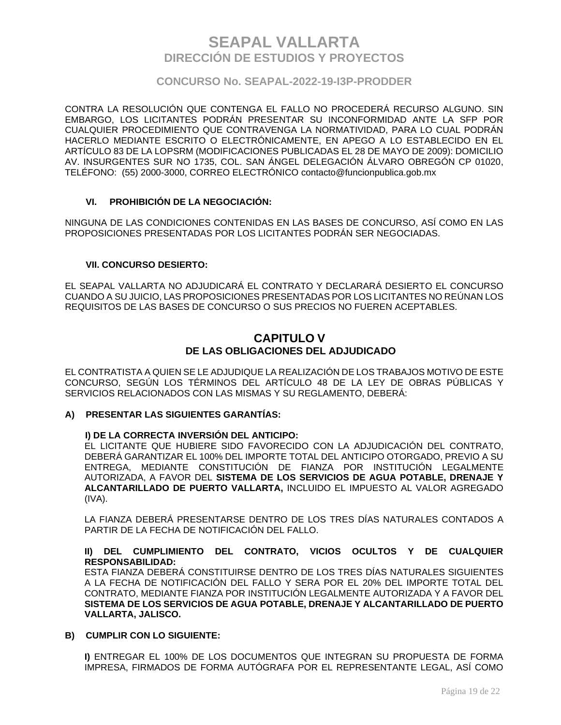### **CONCURSO No. SEAPAL-2022-19-I3P-PRODDER**

CONTRA LA RESOLUCIÓN QUE CONTENGA EL FALLO NO PROCEDERÁ RECURSO ALGUNO. SIN EMBARGO, LOS LICITANTES PODRÁN PRESENTAR SU INCONFORMIDAD ANTE LA SFP POR CUALQUIER PROCEDIMIENTO QUE CONTRAVENGA LA NORMATIVIDAD, PARA LO CUAL PODRÁN HACERLO MEDIANTE ESCRITO O ELECTRÓNICAMENTE, EN APEGO A LO ESTABLECIDO EN EL ARTÍCULO 83 DE LA LOPSRM (MODIFICACIONES PUBLICADAS EL 28 DE MAYO DE 2009): DOMICILIO AV. INSURGENTES SUR NO 1735, COL. SAN ÁNGEL DELEGACIÓN ÁLVARO OBREGÓN CP 01020, TELÉFONO: (55) 2000-3000, CORREO ELECTRÓNICO contacto@funcionpublica.gob.mx

### **VI. PROHIBICIÓN DE LA NEGOCIACIÓN:**

NINGUNA DE LAS CONDICIONES CONTENIDAS EN LAS BASES DE CONCURSO, ASÍ COMO EN LAS PROPOSICIONES PRESENTADAS POR LOS LICITANTES PODRÁN SER NEGOCIADAS.

#### **VII. CONCURSO DESIERTO:**

EL SEAPAL VALLARTA NO ADJUDICARÁ EL CONTRATO Y DECLARARÁ DESIERTO EL CONCURSO CUANDO A SU JUICIO, LAS PROPOSICIONES PRESENTADAS POR LOS LICITANTES NO REÚNAN LOS REQUISITOS DE LAS BASES DE CONCURSO O SUS PRECIOS NO FUEREN ACEPTABLES.

### **CAPITULO V DE LAS OBLIGACIONES DEL ADJUDICADO**

EL CONTRATISTA A QUIEN SE LE ADJUDIQUE LA REALIZACIÓN DE LOS TRABAJOS MOTIVO DE ESTE CONCURSO, SEGÚN LOS TÉRMINOS DEL ARTÍCULO 48 DE LA LEY DE OBRAS PÚBLICAS Y SERVICIOS RELACIONADOS CON LAS MISMAS Y SU REGLAMENTO, DEBERÁ:

### **A) PRESENTAR LAS SIGUIENTES GARANTÍAS:**

#### **I) DE LA CORRECTA INVERSIÓN DEL ANTICIPO:**

EL LICITANTE QUE HUBIERE SIDO FAVORECIDO CON LA ADJUDICACIÓN DEL CONTRATO, DEBERÁ GARANTIZAR EL 100% DEL IMPORTE TOTAL DEL ANTICIPO OTORGADO, PREVIO A SU ENTREGA, MEDIANTE CONSTITUCIÓN DE FIANZA POR INSTITUCIÓN LEGALMENTE AUTORIZADA, A FAVOR DEL **SISTEMA DE LOS SERVICIOS DE AGUA POTABLE, DRENAJE Y ALCANTARILLADO DE PUERTO VALLARTA,** INCLUIDO EL IMPUESTO AL VALOR AGREGADO (IVA).

LA FIANZA DEBERÁ PRESENTARSE DENTRO DE LOS TRES DÍAS NATURALES CONTADOS A PARTIR DE LA FECHA DE NOTIFICACIÓN DEL FALLO.

#### **II) DEL CUMPLIMIENTO DEL CONTRATO, VICIOS OCULTOS Y DE CUALQUIER RESPONSABILIDAD:**

ESTA FIANZA DEBERÁ CONSTITUIRSE DENTRO DE LOS TRES DÍAS NATURALES SIGUIENTES A LA FECHA DE NOTIFICACIÓN DEL FALLO Y SERA POR EL 20% DEL IMPORTE TOTAL DEL CONTRATO, MEDIANTE FIANZA POR INSTITUCIÓN LEGALMENTE AUTORIZADA Y A FAVOR DEL **SISTEMA DE LOS SERVICIOS DE AGUA POTABLE, DRENAJE Y ALCANTARILLADO DE PUERTO VALLARTA, JALISCO.**

#### **B) CUMPLIR CON LO SIGUIENTE:**

**I)** ENTREGAR EL 100% DE LOS DOCUMENTOS QUE INTEGRAN SU PROPUESTA DE FORMA IMPRESA, FIRMADOS DE FORMA AUTÓGRAFA POR EL REPRESENTANTE LEGAL, ASÍ COMO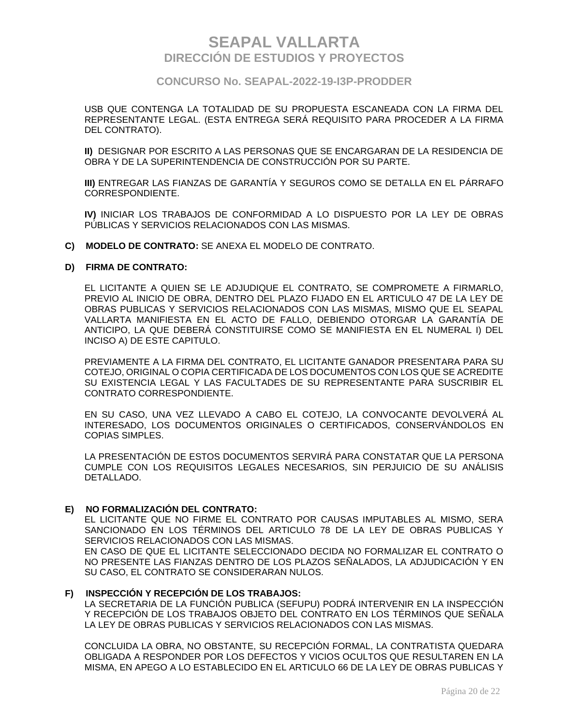### **CONCURSO No. SEAPAL-2022-19-I3P-PRODDER**

USB QUE CONTENGA LA TOTALIDAD DE SU PROPUESTA ESCANEADA CON LA FIRMA DEL REPRESENTANTE LEGAL. (ESTA ENTREGA SERÁ REQUISITO PARA PROCEDER A LA FIRMA DEL CONTRATO).

**II)** DESIGNAR POR ESCRITO A LAS PERSONAS QUE SE ENCARGARAN DE LA RESIDENCIA DE OBRA Y DE LA SUPERINTENDENCIA DE CONSTRUCCIÓN POR SU PARTE.

**III)** ENTREGAR LAS FIANZAS DE GARANTÍA Y SEGUROS COMO SE DETALLA EN EL PÁRRAFO CORRESPONDIENTE.

**IV)** INICIAR LOS TRABAJOS DE CONFORMIDAD A LO DISPUESTO POR LA LEY DE OBRAS PÚBLICAS Y SERVICIOS RELACIONADOS CON LAS MISMAS.

**C) MODELO DE CONTRATO:** SE ANEXA EL MODELO DE CONTRATO.

#### **D) FIRMA DE CONTRATO:**

EL LICITANTE A QUIEN SE LE ADJUDIQUE EL CONTRATO, SE COMPROMETE A FIRMARLO, PREVIO AL INICIO DE OBRA, DENTRO DEL PLAZO FIJADO EN EL ARTICULO 47 DE LA LEY DE OBRAS PUBLICAS Y SERVICIOS RELACIONADOS CON LAS MISMAS, MISMO QUE EL SEAPAL VALLARTA MANIFIESTA EN EL ACTO DE FALLO, DEBIENDO OTORGAR LA GARANTÍA DE ANTICIPO, LA QUE DEBERÁ CONSTITUIRSE COMO SE MANIFIESTA EN EL NUMERAL I) DEL INCISO A) DE ESTE CAPITULO.

PREVIAMENTE A LA FIRMA DEL CONTRATO, EL LICITANTE GANADOR PRESENTARA PARA SU COTEJO, ORIGINAL O COPIA CERTIFICADA DE LOS DOCUMENTOS CON LOS QUE SE ACREDITE SU EXISTENCIA LEGAL Y LAS FACULTADES DE SU REPRESENTANTE PARA SUSCRIBIR EL CONTRATO CORRESPONDIENTE.

EN SU CASO, UNA VEZ LLEVADO A CABO EL COTEJO, LA CONVOCANTE DEVOLVERÁ AL INTERESADO, LOS DOCUMENTOS ORIGINALES O CERTIFICADOS, CONSERVÁNDOLOS EN COPIAS SIMPLES.

LA PRESENTACIÓN DE ESTOS DOCUMENTOS SERVIRÁ PARA CONSTATAR QUE LA PERSONA CUMPLE CON LOS REQUISITOS LEGALES NECESARIOS, SIN PERJUICIO DE SU ANÁLISIS DETALLADO.

#### **E) NO FORMALIZACIÓN DEL CONTRATO:**

EL LICITANTE QUE NO FIRME EL CONTRATO POR CAUSAS IMPUTABLES AL MISMO, SERA SANCIONADO EN LOS TÉRMINOS DEL ARTICULO 78 DE LA LEY DE OBRAS PUBLICAS Y SERVICIOS RELACIONADOS CON LAS MISMAS.

EN CASO DE QUE EL LICITANTE SELECCIONADO DECIDA NO FORMALIZAR EL CONTRATO O NO PRESENTE LAS FIANZAS DENTRO DE LOS PLAZOS SEÑALADOS, LA ADJUDICACIÓN Y EN SU CASO, EL CONTRATO SE CONSIDERARAN NULOS.

#### **F) INSPECCIÓN Y RECEPCIÓN DE LOS TRABAJOS:**

LA SECRETARIA DE LA FUNCIÓN PUBLICA (SEFUPU) PODRÁ INTERVENIR EN LA INSPECCIÓN Y RECEPCIÓN DE LOS TRABAJOS OBJETO DEL CONTRATO EN LOS TÉRMINOS QUE SEÑALA LA LEY DE OBRAS PUBLICAS Y SERVICIOS RELACIONADOS CON LAS MISMAS.

CONCLUIDA LA OBRA, NO OBSTANTE, SU RECEPCIÓN FORMAL, LA CONTRATISTA QUEDARA OBLIGADA A RESPONDER POR LOS DEFECTOS Y VICIOS OCULTOS QUE RESULTAREN EN LA MISMA, EN APEGO A LO ESTABLECIDO EN EL ARTICULO 66 DE LA LEY DE OBRAS PUBLICAS Y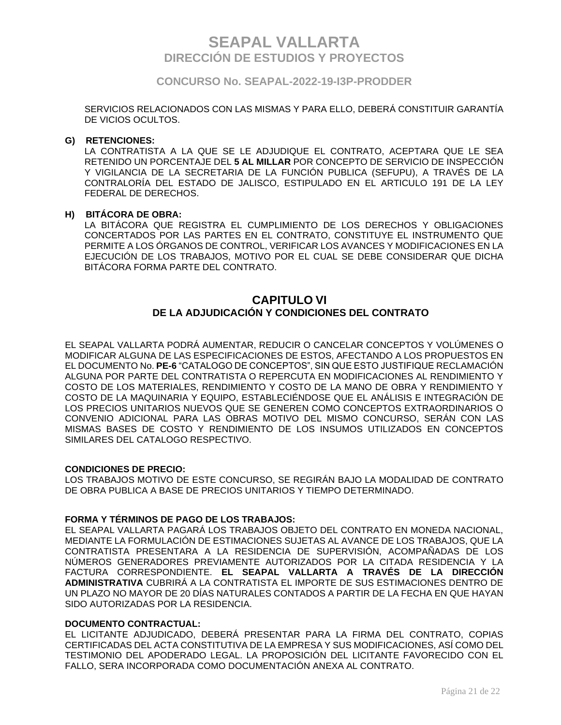### **CONCURSO No. SEAPAL-2022-19-I3P-PRODDER**

SERVICIOS RELACIONADOS CON LAS MISMAS Y PARA ELLO, DEBERÁ CONSTITUIR GARANTÍA DE VICIOS OCULTOS.

#### **G) RETENCIONES:**

LA CONTRATISTA A LA QUE SE LE ADJUDIQUE EL CONTRATO, ACEPTARA QUE LE SEA RETENIDO UN PORCENTAJE DEL **5 AL MILLAR** POR CONCEPTO DE SERVICIO DE INSPECCIÓN Y VIGILANCIA DE LA SECRETARIA DE LA FUNCIÓN PUBLICA (SEFUPU), A TRAVÉS DE LA CONTRALORÍA DEL ESTADO DE JALISCO, ESTIPULADO EN EL ARTICULO 191 DE LA LEY FEDERAL DE DERECHOS.

#### **H) BITÁCORA DE OBRA:**

LA BITÁCORA QUE REGISTRA EL CUMPLIMIENTO DE LOS DERECHOS Y OBLIGACIONES CONCERTADOS POR LAS PARTES EN EL CONTRATO, CONSTITUYE EL INSTRUMENTO QUE PERMITE A LOS ÓRGANOS DE CONTROL, VERIFICAR LOS AVANCES Y MODIFICACIONES EN LA EJECUCIÓN DE LOS TRABAJOS, MOTIVO POR EL CUAL SE DEBE CONSIDERAR QUE DICHA BITÁCORA FORMA PARTE DEL CONTRATO.

## **CAPITULO VI DE LA ADJUDICACIÓN Y CONDICIONES DEL CONTRATO**

EL SEAPAL VALLARTA PODRÁ AUMENTAR, REDUCIR O CANCELAR CONCEPTOS Y VOLÚMENES O MODIFICAR ALGUNA DE LAS ESPECIFICACIONES DE ESTOS, AFECTANDO A LOS PROPUESTOS EN EL DOCUMENTO No. **PE-6** "CATALOGO DE CONCEPTOS", SIN QUE ESTO JUSTIFIQUE RECLAMACIÓN ALGUNA POR PARTE DEL CONTRATISTA O REPERCUTA EN MODIFICACIONES AL RENDIMIENTO Y COSTO DE LOS MATERIALES, RENDIMIENTO Y COSTO DE LA MANO DE OBRA Y RENDIMIENTO Y COSTO DE LA MAQUINARIA Y EQUIPO, ESTABLECIÉNDOSE QUE EL ANÁLISIS E INTEGRACIÓN DE LOS PRECIOS UNITARIOS NUEVOS QUE SE GENEREN COMO CONCEPTOS EXTRAORDINARIOS O CONVENIO ADICIONAL PARA LAS OBRAS MOTIVO DEL MISMO CONCURSO, SERÁN CON LAS MISMAS BASES DE COSTO Y RENDIMIENTO DE LOS INSUMOS UTILIZADOS EN CONCEPTOS SIMILARES DEL CATALOGO RESPECTIVO.

#### **CONDICIONES DE PRECIO:**

LOS TRABAJOS MOTIVO DE ESTE CONCURSO, SE REGIRÁN BAJO LA MODALIDAD DE CONTRATO DE OBRA PUBLICA A BASE DE PRECIOS UNITARIOS Y TIEMPO DETERMINADO.

#### **FORMA Y TÉRMINOS DE PAGO DE LOS TRABAJOS:**

EL SEAPAL VALLARTA PAGARÁ LOS TRABAJOS OBJETO DEL CONTRATO EN MONEDA NACIONAL, MEDIANTE LA FORMULACIÓN DE ESTIMACIONES SUJETAS AL AVANCE DE LOS TRABAJOS, QUE LA CONTRATISTA PRESENTARA A LA RESIDENCIA DE SUPERVISIÓN, ACOMPAÑADAS DE LOS NÚMEROS GENERADORES PREVIAMENTE AUTORIZADOS POR LA CITADA RESIDENCIA Y LA FACTURA CORRESPONDIENTE. **EL SEAPAL VALLARTA A TRAVÉS DE LA DIRECCIÓN ADMINISTRATIVA** CUBRIRÁ A LA CONTRATISTA EL IMPORTE DE SUS ESTIMACIONES DENTRO DE UN PLAZO NO MAYOR DE 20 DÍAS NATURALES CONTADOS A PARTIR DE LA FECHA EN QUE HAYAN SIDO AUTORIZADAS POR LA RESIDENCIA.

#### **DOCUMENTO CONTRACTUAL:**

EL LICITANTE ADJUDICADO, DEBERÁ PRESENTAR PARA LA FIRMA DEL CONTRATO, COPIAS CERTIFICADAS DEL ACTA CONSTITUTIVA DE LA EMPRESA Y SUS MODIFICACIONES, ASÍ COMO DEL TESTIMONIO DEL APODERADO LEGAL. LA PROPOSICIÓN DEL LICITANTE FAVORECIDO CON EL FALLO, SERA INCORPORADA COMO DOCUMENTACIÓN ANEXA AL CONTRATO.